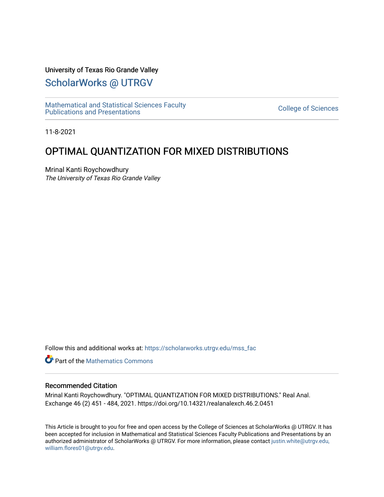## University of Texas Rio Grande Valley

# [ScholarWorks @ UTRGV](https://scholarworks.utrgv.edu/)

[Mathematical and Statistical Sciences Faculty](https://scholarworks.utrgv.edu/mss_fac)  mathematical and Statistical Sciences Faculty<br>Publications and Presentations

11-8-2021

# OPTIMAL QUANTIZATION FOR MIXED DISTRIBUTIONS

Mrinal Kanti Roychowdhury The University of Texas Rio Grande Valley

Follow this and additional works at: [https://scholarworks.utrgv.edu/mss\\_fac](https://scholarworks.utrgv.edu/mss_fac?utm_source=scholarworks.utrgv.edu%2Fmss_fac%2F246&utm_medium=PDF&utm_campaign=PDFCoverPages) 

**C** Part of the [Mathematics Commons](http://network.bepress.com/hgg/discipline/174?utm_source=scholarworks.utrgv.edu%2Fmss_fac%2F246&utm_medium=PDF&utm_campaign=PDFCoverPages)

#### Recommended Citation

Mrinal Kanti Roychowdhury. "OPTIMAL QUANTIZATION FOR MIXED DISTRIBUTIONS." Real Anal. Exchange 46 (2) 451 - 484, 2021. https://doi.org/10.14321/realanalexch.46.2.0451

This Article is brought to you for free and open access by the College of Sciences at ScholarWorks @ UTRGV. It has been accepted for inclusion in Mathematical and Statistical Sciences Faculty Publications and Presentations by an authorized administrator of ScholarWorks @ UTRGV. For more information, please contact [justin.white@utrgv.edu,](mailto:justin.white@utrgv.edu,%20william.flores01@utrgv.edu)  [william.flores01@utrgv.edu](mailto:justin.white@utrgv.edu,%20william.flores01@utrgv.edu).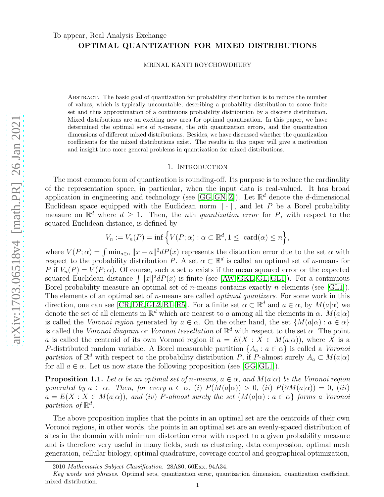## To appear, Real Analysis Exchange OPTIMAL QUANTIZATION FOR MIXED DISTRIBUTIONS

MRINAL KANTI ROYCHOWDHURY

Abstract. The basic goal of quantization for probability distribution is to reduce the number of values, which is typically uncountable, describing a probability distribution to some finite set and thus approximation of a continuous probability distribution by a discrete distribution. Mixed distributions are an exciting new area for optimal quantization. In this paper, we have determined the optimal sets of *n*-means, the *n*th quantization errors, and the quantization dimensions of different mixed distributions. Besides, we have discussed whether the quantization coefficients for the mixed distributions exist. The results in this paper will give a motivation and insight into more general problems in quantization for mixed distributions.

#### 1. INTRODUCTION

The most common form of quantization is rounding-off. Its purpose is to reduce the cardinality of the representation space, in particular, when the input data is real-valued. It has broad application in engineering and technology (see [\[GG,](#page-21-0) [GN,](#page-21-1) [Z\]](#page-22-0)). Let  $\mathbb{R}^d$  denote the *d*-dimensional Euclidean space equipped with the Euclidean norm  $\|\cdot\|$ , and let P be a Borel probability measure on  $\mathbb{R}^d$  where  $d \geq 1$ . Then, the *n*th *quantization error* for *P*, with respect to the squared Euclidean distance, is defined by

$$
V_n := V_n(P) = \inf \left\{ V(P; \alpha) : \alpha \subset \mathbb{R}^d, 1 \leq \operatorname{card}(\alpha) \leq n \right\},\
$$

where  $V(P; \alpha) = \int \min_{a \in \alpha} ||x - a||^2 dP(x)$  represents the distortion error due to the set  $\alpha$  with respect to the probability distribution P. A set  $\alpha \subset \mathbb{R}^d$  is called an optimal set of *n*-means for P if  $V_n(P) = V(P; \alpha)$ . Of course, such a set  $\alpha$  exists if the mean squared error or the expected squared Euclidean distance  $\int ||x||^2 dP(x)$  is finite (see [\[AW,](#page-21-2) [GKL,](#page-21-3) [GL,](#page-21-4) [GL1\]](#page-21-5)). For a continuous Borel probability measure an optimal set of *n*-means contains exactly *n* elements (see [\[GL1\]](#page-21-5)). The elements of an optimal set of *n*-means are called *optimal quantizers*. For some work in this direction, one can see [\[CR,](#page-21-6) [DR,](#page-21-7) [GL2,](#page-21-8) [R1](#page-21-9)[–R5\]](#page-21-10). For a finite set  $\alpha \subset \mathbb{R}^d$  and  $a \in \alpha$ , by  $M(a|\alpha)$  we denote the set of all elements in  $\mathbb{R}^d$  which are nearest to a among all the elements in  $\alpha$ .  $M(a|\alpha)$ is called the Voronoi region generated by  $a \in \alpha$ . On the other hand, the set  $\{M(a|\alpha): a \in \alpha\}$ is called the Voronoi diagram or Voronoi tessellation of  $\mathbb{R}^d$  with respect to the set  $\alpha$ . The point a is called the centroid of its own Voronoi region if  $a = E(X : X \in M(a|\alpha))$ , where X is a P-distributed random variable. A Borel measurable partition  $\{A_a : a \in \alpha\}$  is called a Voronoi partition of  $\mathbb{R}^d$  with respect to the probability distribution P, if P-almost surely  $A_a \subset M(a|\alpha)$ for all  $a \in \alpha$ . Let us now state the following proposition (see [\[GG,](#page-21-0) [GL1\]](#page-21-5)).

<span id="page-1-0"></span>**Proposition 1.1.** Let  $\alpha$  be an optimal set of n-means,  $a \in \alpha$ , and  $M(a|\alpha)$  be the Voronoi region generated by  $a \in \alpha$ . Then, for every  $a \in \alpha$ , (i)  $P(M(a|\alpha)) > 0$ , (ii)  $P(\partial M(a|\alpha)) = 0$ , (iii)  $a = E(X : X \in M(a|\alpha))$ , and (iv) P-almost surely the set  $\{M(a|\alpha) : a \in \alpha\}$  forms a Voronoi partition of  $\mathbb{R}^d$ .

The above proposition implies that the points in an optimal set are the centroids of their own Voronoi regions, in other words, the points in an optimal set are an evenly-spaced distribution of sites in the domain with minimum distortion error with respect to a given probability measure and is therefore very useful in many fields, such as clustering, data compression, optimal mesh generation, cellular biology, optimal quadrature, coverage control and geographical optimization,

<sup>2010</sup> Mathematics Subject Classification. 28A80, 60Exx, 94A34.

Key words and phrases. Optimal sets, quantization error, quantization dimension, quantization coefficient, mixed distribution.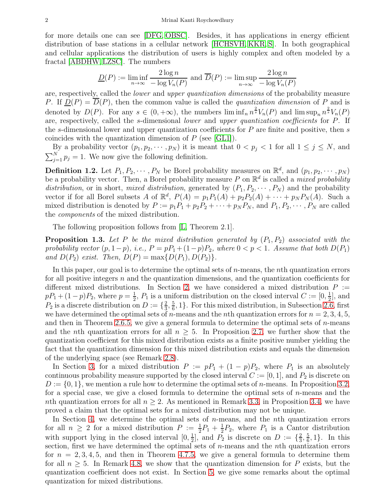for more details one can see [\[DFG,](#page-21-11) [OBSC\]](#page-21-12). Besides, it has applications in energy efficient distribution of base stations in a cellular network [\[HCHSVH,](#page-21-13) [KKR,](#page-21-14) [S\]](#page-22-1). In both geographical and cellular applications the distribution of users is highly complex and often modeled by a fractal [\[ABDHW,](#page-21-15) [LZSC\]](#page-21-16). The numbers

$$
\underline{D}(P) := \liminf_{n \to \infty} \frac{2 \log n}{-\log V_n(P)} \text{ and } \overline{D}(P) := \limsup_{n \to \infty} \frac{2 \log n}{-\log V_n(P)}
$$

are, respectively, called the lower and upper quantization dimensions of the probability measure P. If  $\underline{D}(P) = \overline{D}(P)$ , then the common value is called the *quantization dimension* of P and is denoted by  $D(P)$ . For any  $s \in (0, +\infty)$ , the numbers  $\liminf_n n^{\frac{2}{s}}V_n(P)$  and  $\limsup_n n^{\frac{2}{s}}V_n(P)$ are, respectively, called the s-dimensional lower and upper quantization coefficients for P. If the s-dimensional lower and upper quantization coefficients for  $P$  are finite and positive, then s coincides with the quantization dimension of  $P$  (see [\[GL1\]](#page-21-5)).

By a probability vector  $(p_1, p_2, \dots, p_N)$  it is meant that  $0 < p_j < 1$  for all  $1 \le j \le N$ , and  $\sum_{j=1}^{N} p_j = 1$ . We now give the following definition.

**Definition 1.2.** Let  $P_1, P_2, \cdots, P_N$  be Borel probability measures on  $\mathbb{R}^d$ , and  $(p_1, p_2, \cdots, p_N)$ be a probability vector. Then, a Borel probability measure P on  $\mathbb{R}^d$  is called a *mixed probability* distribution, or in short, mixed distribution, generated by  $(P_1, P_2, \dots, P_N)$  and the probability vector if for all Borel subsets A of  $\mathbb{R}^d$ ,  $P(A) = p_1 P_1(A) + p_2 P_2(A) + \cdots + p_N P_N(A)$ . Such a mixed distribution is denoted by  $P := p_1 P_1 + p_2 P_2 + \cdots + p_N P_N$ , and  $P_1, P_2, \cdots, P_N$  are called the components of the mixed distribution.

The following proposition follows from [\[L,](#page-21-17) Theorem 2.1].

<span id="page-2-0"></span>**Proposition 1.3.** Let P be the mixed distribution generated by  $(P_1, P_2)$  associated with the probability vector  $(p, 1-p)$ , i.e.,  $P = pP_1 + (1-p)P_2$ , where  $0 < p < 1$ . Assume that both  $D(P_1)$ and  $D(P_2)$  exist. Then,  $D(P) = \max\{D(P_1), D(P_2)\}.$ 

In this paper, our goal is to determine the optimal sets of  $n$ -means, the  $nth$  quantization errors for all positive integers  $n$  and the quantization dimensions, and the quantization coefficients for different mixed distributions. In Section [2,](#page-3-0) we have considered a mixed distribution  $P :=$  $pP_1 + (1-p)P_2$ , where  $p = \frac{1}{2}$  $\frac{1}{2}$ ,  $P_1$  is a uniform distribution on the closed interval  $C := [0, \frac{1}{2}]$  $\frac{1}{2}$ , and  $P_2$  is a discrete distribution on  $D := \{\frac{2}{3}\}$  $\frac{2}{3}, \frac{5}{6}$  $\frac{5}{6}$ , 1}. For this mixed distribution, in Subsection [2.6,](#page-4-0) first we have determined the optimal sets of n-means and the nth quantization errors for  $n = 2, 3, 4, 5$ , and then in Theorem [2.6.5,](#page-8-0) we give a general formula to determine the optimal sets of  $n$ -means and the nth quantization errors for all  $n \geq 5$ . In Proposition [2.7,](#page-9-0) we further show that the quantization coefficient for this mixed distribution exists as a finite positive number yielding the fact that the quantization dimension for this mixed distribution exists and equals the dimension of the underlying space (see Remark [2.8\)](#page-9-1).

In Section [3,](#page-9-2) for a mixed distribution  $P := pP_1 + (1 - p)P_2$ , where  $P_1$  is an absolutely continuous probability measure supported by the closed interval  $C := [0, 1]$ , and  $P_2$  is discrete on  $D := \{0, 1\}$ , we mention a rule how to determine the optimal sets of *n*-means. In Proposition [3.2,](#page-9-3) for a special case, we give a closed formula to determine the optimal sets of  $n$ -means and the nth quantization errors for all  $n > 2$ . As mentioned in Remark [3.3,](#page-10-0) in Proposition [3.4,](#page-10-1) we have proved a claim that the optimal sets for a mixed distribution may not be unique.

In Section [4,](#page-11-0) we determine the optimal sets of  $n$ -means, and the  $nth$  quantization errors for all  $n \geq 2$  for a mixed distribution  $P := \frac{1}{2}P_1 + \frac{1}{2}$  $\frac{1}{2}P_2$ , where  $P_1$  is a Cantor distribution with support lying in the closed interval  $[0, \frac{1}{2}]$  $\frac{1}{2}$ , and  $P_2$  is discrete on  $D := \{\frac{2}{3}$  $\frac{2}{3}, \frac{5}{6}$  $\frac{5}{6}$ , 1 }. In this section, first we have determined the optimal sets of  $n$ -means and the nth quantization errors for  $n = 2, 3, 4, 5$ , and then in Theorem [4.7.5,](#page-13-0) we give a general formula to determine them for all  $n \geq 5$ . In Remark [4.8,](#page-14-0) we show that the quantization dimension for P exists, but the quantization coefficient does not exist. In Section [5,](#page-14-1) we give some remarks about the optimal quantization for mixed distributions.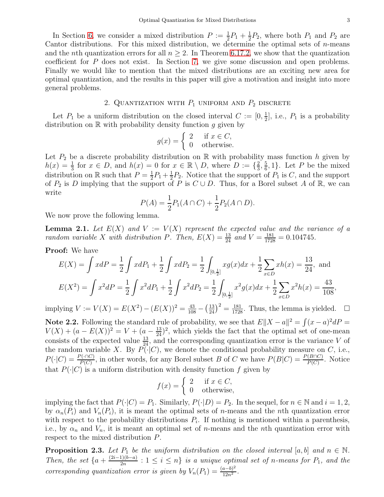In Section [6,](#page-15-0) we consider a mixed distribution  $P := \frac{1}{2}P_1 + \frac{1}{2}$  $\frac{1}{2}P_2$ , where both  $P_1$  and  $P_2$  are Cantor distributions. For this mixed distribution, we determine the optimal sets of  $n$ -means and the nth quantization errors for all  $n \geq 2$ . In Theorem [6.17.2,](#page-19-0) we show that the quantization coefficient for P does not exist. In Section [7,](#page-20-0) we give some discussion and open problems. Finally we would like to mention that the mixed distributions are an exciting new area for optimal quantization, and the results in this paper will give a motivation and insight into more general problems.

### 2. QUANTIZATION WITH  $P_1$  UNIFORM AND  $P_2$  DISCRETE

<span id="page-3-0"></span>Let  $P_1$  be a uniform distribution on the closed interval  $C := [0, \frac{1}{2}]$  $\frac{1}{2}$ , i.e.,  $P_1$  is a probability distribution on  $\mathbb R$  with probability density function g given by

$$
g(x) = \begin{cases} 2 & \text{if } x \in C, \\ 0 & \text{otherwise.} \end{cases}
$$

Let  $P_2$  be a discrete probability distribution on R with probability mass function h given by  $h(x) = \frac{1}{3}$  for  $x \in D$ , and  $h(x) = 0$  for  $x \in \mathbb{R} \setminus D$ , where  $D := \{\frac{2}{3}$  $\frac{2}{3}, \frac{5}{6}$  $\frac{5}{6}$ , 1}. Let P be the mixed distribution on R such that  $P=\frac{1}{2}$  $\frac{1}{2}P_1 + \frac{1}{2}$  $\frac{1}{2}P_2$ . Notice that the support of  $P_1$  is C, and the support of  $P_2$  is D implying that the support of P is  $C \cup D$ . Thus, for a Borel subset A of R, we can write

$$
P(A) = \frac{1}{2}P_1(A \cap C) + \frac{1}{2}P_2(A \cap D).
$$

We now prove the following lemma.

**Lemma 2.1.** Let  $E(X)$  and  $V := V(X)$  represent the expected value and the variance of a random variable X with distribution P. Then,  $E(X) = \frac{13}{24}$  and  $V = \frac{181}{1728} = 0.104745$ .

Proof: We have

$$
E(X) = \int x dP = \frac{1}{2} \int x dP_1 + \frac{1}{2} \int x dP_2 = \frac{1}{2} \int_{[0, \frac{1}{2}]} x g(x) dx + \frac{1}{2} \sum_{x \in D} x h(x) = \frac{13}{24}, \text{ and}
$$
  

$$
E(X^2) = \int x^2 dP = \frac{1}{2} \int x^2 dP_1 + \frac{1}{2} \int x^2 dP_2 = \frac{1}{2} \int_{[0, \frac{1}{2}]} x^2 g(x) dx + \frac{1}{2} \sum_{x \in D} x^2 h(x) = \frac{43}{108},
$$

implying  $V := V(X) = E(X^2) - (E(X))^2 = \frac{43}{108} - (\frac{13}{24})$  $\frac{13}{24}$  $\big)^2 = \frac{181}{1728}$ . Thus, the lemma is yielded.  $\Box$ 

Note 2.2. Following the standard rule of probability, we see that  $E||X - a||^2 = \int (x - a)^2 dP =$  $V(X) + (a - E(X))^2 = V + (a - \frac{13}{24})^2$ , which yields the fact that the optimal set of one-mean consists of the expected value  $\frac{13}{24}$ , and the corresponding quantization error is the variance V of the random variable X. By  $P(\cdot|C)$ , we denote the conditional probability measure on C, i.e.,  $P(\cdot|C) = \frac{P(\cdot \cap C)}{P(C)}$ , in other words, for any Borel subset B of C we have  $P(B|C) = \frac{P(B \cap C)}{P(C)}$ . Notice that  $P(\cdot|C)$  is a uniform distribution with density function f given by

$$
f(x) = \begin{cases} 2 & \text{if } x \in C, \\ 0 & \text{otherwise,} \end{cases}
$$

implying the fact that  $P(\cdot|C) = P_1$ . Similarly,  $P(\cdot|D) = P_2$ . In the sequel, for  $n \in \mathbb{N}$  and  $i = 1, 2$ , by  $\alpha_n(P_i)$  and  $V_n(P_i)$ , it is meant the optimal sets of *n*-means and the *n*th quantization error with respect to the probability distributions  $P_i$ . If nothing is mentioned within a parenthesis, i.e., by  $\alpha_n$  and  $V_n$ , it is meant an optimal set of *n*-means and the *n*th quantization error with respect to the mixed distribution P.

**Proposition 2.3.** Let  $P_1$  be the uniform distribution on the closed interval [a, b] and  $n \in \mathbb{N}$ . Then, the set  $\{a + \frac{(2i-1)(b-a)}{2n} : 1 \leq i \leq n\}$  is a unique optimal set of n-means for  $P_1$ , and the corresponding quantization error is given by  $V_n(P_1) = \frac{(a-b)^2}{12n^2}$  $\frac{a-b)^2}{12n^2}$ .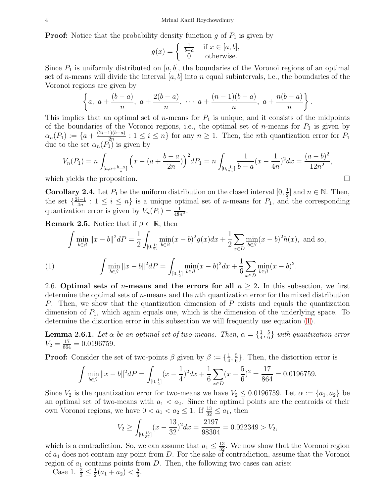**Proof:** Notice that the probability density function g of  $P_1$  is given by

$$
g(x) = \begin{cases} \frac{1}{b-a} & \text{if } x \in [a, b], \\ 0 & \text{otherwise.} \end{cases}
$$

Since  $P_1$  is uniformly distributed on [a, b], the boundaries of the Voronoi regions of an optimal set of n-means will divide the interval  $[a, b]$  into n equal subintervals, i.e., the boundaries of the Voronoi regions are given by

$$
\left\{a, \ a+\frac{(b-a)}{n}, \ a+\frac{2(b-a)}{n}, \ \cdots \ a+\frac{(n-1)(b-a)}{n}, \ a+\frac{n(b-a)}{n}\right\}.
$$

This implies that an optimal set of *n*-means for  $P_1$  is unique, and it consists of the midpoints of the boundaries of the Voronoi regions, i.e., the optimal set of *n*-means for  $P_1$  is given by  $\alpha_n(P_1) := \{a + \frac{(2i-1)(b-a)}{2^n} : 1 \leq i \leq n\}$  for any  $n \geq 1$ . Then, the *n*th quantization error for  $P_1$ due to the set  $\alpha_n(P_1)$  is given by

$$
V_n(P_1) = n \int_{[a,a+\frac{b-a}{n}]} \left( x - (a+\frac{b-a}{2n}) \right)^2 dP_1 = n \int_{[0,\frac{1}{2n}]} \frac{1}{b-a} (x-\frac{1}{4n})^2 dx = \frac{(a-b)^2}{12n^2},
$$

which yields the proposition.

<span id="page-4-2"></span>**Corollary 2.4.** Let  $P_1$  be the uniform distribution on the closed interval  $[0, \frac{1}{2}]$  $\frac{1}{2}$  and  $n \in \mathbb{N}$ . Then, the set  $\{\frac{2i-1}{4n}: 1 \leq i \leq n\}$  is a unique optimal set of *n*-means for  $P_1$ , and the corresponding quantization error is given by  $V_n(P_1) = \frac{1}{48n^2}$ .

**Remark 2.5.** Notice that if  $\beta \subset \mathbb{R}$ , then

$$
\int \min_{b \in \beta} \|x - b\|^2 dP = \frac{1}{2} \int_{[0, \frac{1}{2}]} \min_{b \in \beta} (x - b)^2 g(x) dx + \frac{1}{2} \sum_{x \in D} \min_{b \in \beta} (x - b)^2 h(x), \text{ and so,}
$$
\n
$$
\int \min_{b \in \beta} \|x - b\|^2 dP = \int_{[0, \frac{1}{2}]} \min_{b \in \beta} (x - b)^2 dx + \frac{1}{6} \sum_{x \in D} \min_{b \in \beta} (x - b)^2.
$$

<span id="page-4-1"></span><span id="page-4-0"></span>2.6. Optimal sets of *n*-means and the errors for all  $n \geq 2$ . In this subsection, we first determine the optimal sets of  $n$ -means and the n<sup>th</sup> quantization error for the mixed distribution P. Then, we show that the quantization dimension of P exists and equals the quantization dimension of  $P_1$ , which again equals one, which is the dimension of the underlying space. To determine the distortion error in this subsection we will frequently use equation [\(1\)](#page-4-1).

**Lemma 2.6.1.** Let  $\alpha$  be an optimal set of two-means. Then,  $\alpha = \{\frac{1}{4}, \frac{1}{4}\}$  $\frac{1}{4}, \frac{5}{6}$  $\frac{5}{6}$ } with quantization error  $V_2 = \frac{17}{864} = 0.0196759.$ 

**Proof:** Consider the set of two-points  $\beta$  given by  $\beta := \{\frac{1}{4}\}$  $\frac{1}{4}, \frac{5}{6}$  $\frac{5}{6}$ . Then, the distortion error is

$$
\int \min_{b \in \beta} \|x - b\|^2 dP = \int_{[0, \frac{1}{2}]} (x - \frac{1}{4})^2 dx + \frac{1}{6} \sum_{x \in D} (x - \frac{5}{6})^2 = \frac{17}{864} = 0.0196759.
$$

Since  $V_2$  is the quantization error for two-means we have  $V_2 \leq 0.0196759$ . Let  $\alpha := \{a_1, a_2\}$  be an optimal set of two-means with  $a_1 < a_2$ . Since the optimal points are the centroids of their own Voronoi regions, we have  $0 < a_1 < a_2 \leq 1$ . If  $\frac{13}{32} \leq a_1$ , then

$$
V_2 \ge \int_{[0,\frac{13}{32}]} (x - \frac{13}{32})^2 dx = \frac{2197}{98304} = 0.022349 > V_2,
$$

which is a contradiction. So, we can assume that  $a_1 \leq \frac{13}{32}$ . We now show that the Voronoi region of  $a_1$  does not contain any point from D. For the sake of contradiction, assume that the Voronoi region of  $a_1$  contains points from  $D$ . Then, the following two cases can arise:

Case 1.  $\frac{2}{3} \leq \frac{1}{2}$  $\frac{1}{2}(a_1 + a_2) < \frac{5}{6}$  $\frac{5}{6}$ .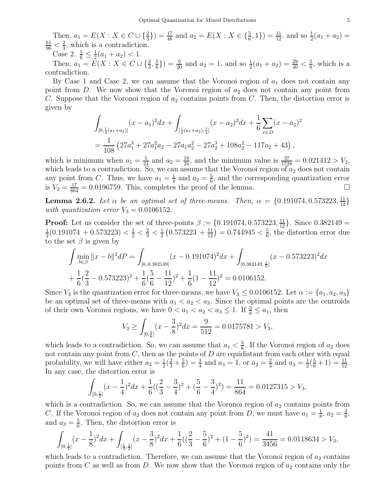Then,  $a_1 = E(X : X \in C \cup \{\frac{2}{3}\}) = \frac{17}{48}$  and  $a_2 = E(X : X \in \{\frac{5}{6}, 1\}) = \frac{11}{12}$ , and so  $\frac{1}{2}(a_1 + a_2) =$  $\frac{61}{96} < \frac{2}{3}$  $\frac{2}{3}$ , which is a contradiction.

Case 2.  $\frac{5}{6} \leq \frac{1}{2}$  $\frac{1}{2}(a_1 + a_2) < 1.$ 

Then,  $a_1 = E(X : X \in C \cup \{\frac{2}{3}, \frac{5}{6}\})$  $(\frac{5}{6})$ ) =  $\frac{9}{20}$  and  $a_2 = 1$ , and so  $\frac{1}{2}(a_1 + a_2) = \frac{29}{40} < \frac{5}{6}$  $\frac{5}{6}$ , which is a contradiction.

By Case 1 and Case 2, we can assume that the Voronoi region of  $a_1$  does not contain any point from  $D$ . We now show that the Voronoi region of  $a_2$  does not contain any point from C. Suppose that the Voronoi region of  $a_2$  contains points from C. Then, the distortion error is given by

$$
\int_{[0,\frac{1}{2}(a_1+a_2)]} (x-a_1)^2 dx + \int_{[\frac{1}{2}(a_1+a_2),\frac{1}{2}]} (x-a_2)^2 dx + \frac{1}{6} \sum_{x \in D} (x-a_2)^2
$$
  
=  $\frac{1}{108} (27a_1^3 + 27a_1^2a_2 - 27a_1a_2^2 - 27a_2^3 + 108a_2^2 - 117a_2 + 43),$ 

which is minimum when  $a_1 = \frac{5}{24}$  and  $a_2 = \frac{19}{24}$ , and the minimum value is  $\frac{37}{1728} = 0.021412 > V_2$ , which leads to a contradiction. So, we can assume that the Voronoi region of  $a_2$  does not contain any point from C. Thus, we have  $a_1 = \frac{1}{4}$  $\frac{1}{4}$  and  $a_2 = \frac{5}{6}$  $\frac{5}{6}$ , and the corresponding quantization error is  $V_2 = \frac{17}{864} = 0.0196759$ . This, completes the proof of the lemma.

**Lemma 2.6.2.** Let  $\alpha$  be an optimal set of three-means. Then,  $\alpha = \{0.191074, 0.573223, \frac{11}{12}\}\$ with quantization error  $V_3 = 0.0106152$ .

**Proof:** Let us consider the set of three-points  $\beta := \{0.191074, 0.573223, \frac{11}{12}\}\.$  Since  $0.382149 =$ 1  $\frac{1}{2}(0.191074 + 0.573223) < \frac{1}{2} < \frac{2}{3} < \frac{1}{2}$  $\frac{1}{2}\left(0.573223 + \frac{11}{12}\right) = 0.744945 < \frac{5}{6}$  $\frac{5}{6}$ , the distortion error due to the set  $\beta$  is given by

$$
\int \min_{b \in \beta} ||x - b||^2 dP = \int_{[0, 0.382149]} (x - 0.191074)^2 dx + \int_{[0.382149, \frac{1}{2}]} (x - 0.573223)^2 dx
$$
  
+  $\frac{1}{6} (\frac{2}{3} - 0.573223)^2 + \frac{1}{6} (\frac{5}{6} - \frac{11}{12})^2 + \frac{1}{6} (1 - \frac{11}{12})^2 = 0.0106152.$ 

Since  $V_3$  is the quantization error for three-means, we have  $V_3 \leq 0.0106152$ . Let  $\alpha := \{a_1, a_2, a_3\}$ be an optimal set of three-means with  $a_1 < a_2 < a_3$ . Since the optimal points are the centroids of their own Voronoi regions, we have  $0 < a_1 < a_2 < a_3 \leq 1$ . If  $\frac{3}{8} \leq a_1$ , then

$$
V_3 \ge \int_{[0,\frac{3}{8}]} (x - \frac{3}{8})^2 dx = \frac{9}{512} = 0.0175781 > V_3,
$$

which leads to a contradiction. So, we can assume that  $a_1 < \frac{3}{8}$  $\frac{3}{8}$ . If the Voronoi region of  $a_2$  does not contain any point from  $C$ , then as the points of  $D$  are equidistant from each other with equal probability, we will have either  $a_2 = \frac{1}{2}$  $rac{1}{2}(\frac{2}{3}+\frac{5}{6})$  $(\frac{5}{6}) = \frac{3}{4}$  and  $a_3 = 1$ , or  $a_2 = \frac{2}{3}$  $\frac{2}{3}$  and  $a_3 = \frac{1}{2}$  $\frac{1}{2}(\frac{5}{6}+1)=\frac{11}{12}.$ In any case, the distortion error is

$$
\int_{[0,\frac{1}{2}]} (x - \frac{1}{4})^2 dx + \frac{1}{6} \left( \left( \frac{2}{3} - \frac{3}{4} \right)^2 + \left( \frac{5}{6} - \frac{3}{4} \right)^2 \right) = \frac{11}{864} = 0.0127315 > V_3,
$$

which is a contradiction. So, we can assume that the Voronoi region of  $a_2$  contains points from C. If the Voronoi region of  $a_2$  does not contain any point from D, we must have  $a_1 = \frac{1}{8}$  $\frac{1}{8}$ ,  $a_2 = \frac{3}{8}$  $\frac{3}{8}$ and  $a_3 = \frac{5}{6}$  $\frac{5}{6}$ . Then, the distortion error is

$$
\int_{[0,\frac{1}{4}]} (x-\frac{1}{8})^2 dx + \int_{[\frac{1}{4},\frac{1}{2}]} (x-\frac{3}{8})^2 dx + \frac{1}{6}((\frac{2}{3}-\frac{5}{6})^2 + (1-\frac{5}{6})^2) = \frac{41}{3456} = 0.0118634 > V_3,
$$

which leads to a contradiction. Therefore, we can assume that the Voronoi region of  $a_2$  contains points from C as well as from D. We now show that the Voronoi region of  $a_2$  contains only the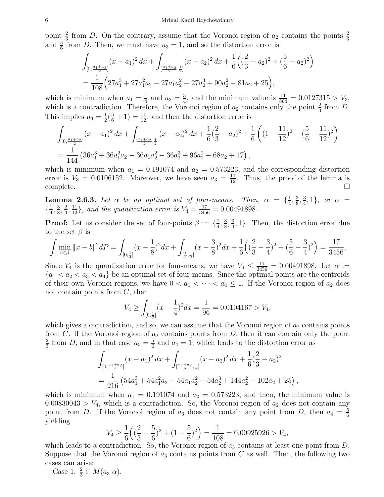point  $\frac{2}{3}$  from D. On the contrary, assume that the Voronoi region of  $a_2$  contains the points  $\frac{2}{3}$ and  $\frac{5}{6}$  from D. Then, we must have  $a_3 = 1$ , and so the distortion error is

$$
\int_{[0,\frac{a_1+a_2}{2}]} (x-a_1)^2 dx + \int_{[\frac{a_1+a_2}{2},\frac{1}{2}]} (x-a_2)^2 dx + \frac{1}{6} \left( (\frac{2}{3} - a_2)^2 + (\frac{5}{6} - a_2)^2 \right)
$$
  
=  $\frac{1}{108} \left( 27a_1^3 + 27a_1^2a_2 - 27a_1a_2^2 - 27a_2^3 + 90a_2^2 - 81a_2 + 25 \right),$ 

which is minimum when  $a_1 = \frac{1}{4}$  $\frac{1}{4}$  and  $a_2 = \frac{3}{4}$  $\frac{3}{4}$ , and the minimum value is  $\frac{11}{864} = 0.0127315 > V_3$ , which is a contradiction. Therefore, the Voronoi region of  $a_2$  contains only the point  $\frac{2}{3}$  from D. This implies  $a_3 = \frac{1}{2}$  $\frac{1}{2}(\frac{5}{6}+1)=\frac{11}{12}$ , and then the distortion error is

$$
\int_{[0,\frac{a_1+a_2}{2}]} (x-a_1)^2 dx + \int_{[\frac{a_1+a_2}{2},\frac{1}{2}]} (x-a_2)^2 dx + \frac{1}{6} (\frac{2}{3}-a_2)^2 + \frac{1}{6} ((1-\frac{11}{12})^2 + (\frac{5}{6}-\frac{11}{12})^2)
$$
  
=  $\frac{1}{144} (36a_1^3 + 36a_1^2a_2 - 36a_1a_2^2 - 36a_2^3 + 96a_2^2 - 68a_2 + 17),$ 

which is minimum when  $a_1 = 0.191074$  and  $a_2 = 0.573223$ , and the corresponding distortion error is  $V_3 = 0.0106152$ . Moreover, we have seen  $a_3 = \frac{11}{12}$ . Thus, the proof of the lemma is complete.  $\square$ 

**Lemma 2.6.3.** Let  $\alpha$  be an optimal set of four-means. Then,  $\alpha = \{\frac{1}{4}, \frac{1}{4}, \frac{1}{4}, \frac{1}{4}, \frac{1}{4}\}$  $\frac{1}{4}$ ,  $\frac{3}{8}$  $\frac{3}{8}, \frac{3}{4}$  $\frac{3}{4}$ , 1}, or  $\alpha =$  $\left\{\frac{1}{4}\right\}$  $\frac{1}{4}$ ,  $\frac{3}{8}$  $\frac{3}{8}, \frac{2}{3}$  $\frac{2}{3}, \frac{11}{12}$ , and the quantization error is  $V_4 = \frac{17}{3456} = 0.00491898$ .

**Proof:** Let us consider the set of four-points  $\beta := \{\frac{1}{4}\}$  $\frac{1}{4}$ ,  $\frac{3}{8}$  $\frac{3}{8}, \frac{3}{4}$  $\frac{3}{4}$ , 1}. Then, the distortion error due to the set  $\beta$  is

$$
\int \min_{b \in \beta} ||x - b||^2 dP = \int_{[0, \frac{1}{4}]} (x - \frac{1}{8})^2 dx + \int_{[\frac{1}{4}, \frac{1}{2}]} (x - \frac{3}{8})^2 dx + \frac{1}{6} \left( (\frac{2}{3} - \frac{3}{4})^2 + (\frac{5}{6} - \frac{3}{4})^2 \right) = \frac{17}{3456}.
$$

Since  $V_4$  is the quantization error for four-means, we have  $V_4 \leq \frac{17}{3456} = 0.00491898$ . Let  $\alpha :=$  ${a_1 < a_2 < a_3 < a_4}$  be an optimal set of four-means. Since the optimal points are the centroids of their own Voronoi regions, we have  $0 < a_1 < \cdots < a_4 \leq 1$ . If the Voronoi region of  $a_2$  does not contain points from  $C$ , then

$$
V_4 \ge \int_{[0,\frac{1}{2}]} (x - \frac{1}{4})^2 dx = \frac{1}{96} = 0.0104167 > V_4,
$$

which gives a contradiction, and so, we can assume that the Voronoi region of  $a_2$  contains points from C. If the Voronoi region of  $a_2$  contains points from D, then it can contain only the point 2  $\frac{2}{3}$  from D, and in that case  $a_3 = \frac{5}{6}$  $\frac{5}{6}$  and  $a_4 = 1$ , which leads to the distortion error as

$$
\int_{[0,\frac{a_1+a_2}{2}]} (x-a_1)^2 dx + \int_{[\frac{a_1+a_2}{2},\frac{1}{2}]} (x-a_2)^2 dx + \frac{1}{6}(\frac{2}{3}-a_2)^2
$$
  
=  $\frac{1}{216} (54a_1^3 + 54a_1^2a_2 - 54a_1a_2^2 - 54a_2^3 + 144a_2^2 - 102a_2 + 25),$ 

which is minimum when  $a_1 = 0.191074$  and  $a_2 = 0.573223$ , and then, the minimum value is  $0.00830043 > V_4$ , which is a contradiction. So, the Voronoi region of  $a_2$  does not contain any point from D. If the Voronoi region of  $a_3$  does not contain any point from D, then  $a_4 = \frac{5}{6}$ 6 yielding

$$
V_4 \ge \frac{1}{6} \left( \left( \frac{2}{3} - \frac{5}{6} \right)^2 + (1 - \frac{5}{6})^2 \right) = \frac{1}{108} = 0.00925926 > V_4,
$$

which leads to a contradiction. So, the Voronoi region of  $a_3$  contains at least one point from  $D$ . Suppose that the Voronoi region of  $a_3$  contains points from C as well. Then, the following two cases can arise:

Case 1.  $\frac{2}{3} \in M(a_3|\alpha)$ .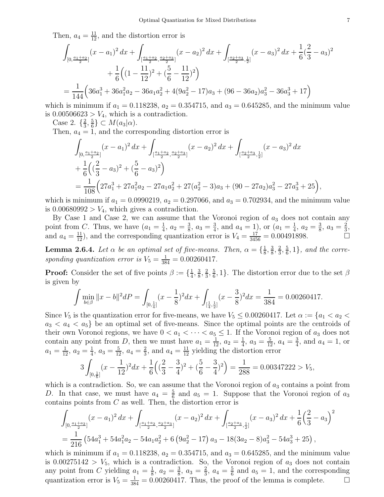Then,  $a_4 = \frac{11}{12}$ , and the distortion error is

$$
\int_{[0,\frac{a_1+a_2}{2}]} (x-a_1)^2 dx + \int_{[\frac{a_1+a_2}{2},\frac{a_2+a_3}{2}]} (x-a_2)^2 dx + \int_{[\frac{a_2+a_3}{2},\frac{1}{2}]} (x-a_3)^2 dx + \frac{1}{6} (\frac{2}{3}-a_3)^2 + \frac{1}{6} ((1-\frac{11}{12})^2 + (\frac{5}{6}-\frac{11}{12})^2)
$$
  
=  $\frac{1}{144} (36a_1^3 + 36a_1^2a_2 - 36a_1a_2^2 + 4(9a_2^2 - 17)a_3 + (96-36a_2)a_3^2 - 36a_3^3 + 17)$ 

which is minimum if  $a_1 = 0.118238$ ,  $a_2 = 0.354715$ , and  $a_3 = 0.645285$ , and the minimum value is  $0.00506623 > V_4$ , which is a contradiction.

Case 2. 
$$
\left\{\frac{2}{3}, \frac{5}{6}\right\} \subset M(a_3|\alpha)
$$
.

Then,  $a_4 = 1$ , and the corresponding distortion error is

$$
\int_{[0,\frac{a_1+a_2}{2}]} (x-a_1)^2 dx + \int_{[\frac{a_1+a_2}{2},\frac{a_2+a_3}{2}]} (x-a_2)^2 dx + \int_{[\frac{a_2+a_3}{2},\frac{1}{2}]} (x-a_3)^2 dx
$$
  
+  $\frac{1}{6} ((\frac{2}{3}-a_3)^2 + (\frac{5}{6}-a_3)^2)$   
=  $\frac{1}{108} (27a_1^3 + 27a_1^2a_2 - 27a_1a_2^2 + 27(a_2^2 - 3)a_3 + (90 - 27a_2)a_3^2 - 27a_3^3 + 25)$ 

which is minimum if  $a_1 = 0.0990219$ ,  $a_2 = 0.297066$ , and  $a_3 = 0.702934$ , and the minimum value is  $0.00680992 > V_4$ , which gives a contradiction.

By Case 1 and Case 2, we can assume that the Voronoi region of  $a_3$  does not contain any point from C. Thus, we have  $(a_1 = \frac{1}{4})$  $\frac{1}{4}$ ,  $a_2 = \frac{3}{8}$  $\frac{3}{8}$ ,  $a_3 = \frac{3}{4}$  $\frac{3}{4}$ , and  $a_4 = 1$ ), or  $(a_1 = \frac{1}{4})$  $\frac{1}{4}$ ,  $a_2 = \frac{3}{8}$  $\frac{3}{8}$ ,  $a_3 = \frac{2}{3}$  $\frac{2}{3}$ , and  $a_4 = \frac{11}{12}$ , and the corresponding quantization error is  $V_4 = \frac{17}{3456} = 0.00491898$ .

<span id="page-7-0"></span>**Lemma 2.6.4.** Let  $\alpha$  be an optimal set of five-means. Then,  $\alpha = \{\frac{1}{8}, \frac{1}{8}\}$  $\frac{1}{8}$ ,  $\frac{3}{8}$  $\frac{3}{8}, \frac{2}{3}$  $\frac{2}{3}, \frac{5}{6}$  $\frac{5}{6}, 1$ , and the corresponding quantization error is  $V_5 = \frac{1}{384} = 0.00260417$ .

**Proof:** Consider the set of five points  $\beta := \{\frac{1}{4}\}$  $\frac{1}{4}$ ,  $\frac{3}{8}$  $\frac{3}{8}, \frac{2}{3}$  $\frac{2}{3}, \frac{5}{6}$  $\frac{5}{6}$ , 1}. The distortion error due to the set  $\beta$ is given by

$$
\int \min_{b \in \beta} \|x - b\|^2 dP = \int_{[0, \frac{1}{4}]} (x - \frac{1}{8})^2 dx + \int_{[\frac{1}{4}, \frac{1}{2}]} (x - \frac{3}{8})^2 dx = \frac{1}{384} = 0.00260417.
$$

Since  $V_5$  is the quantization error for five-means, we have  $V_5 \leq 0.00260417$ . Let  $\alpha := \{a_1 < a_2 < a_3\}$  $a_3 < a_4 < a_5$  be an optimal set of five-means. Since the optimal points are the centroids of their own Voronoi regions, we have  $0 < a_1 < \cdots < a_5 \leq 1$ . If the Voronoi region of  $a_3$  does not contain any point from D, then we must have  $a_1 = \frac{1}{12}$ ,  $a_2 = \frac{1}{4}$  $\frac{1}{4}$ ,  $a_3 = \frac{5}{12}$ ,  $a_4 = \frac{3}{4}$  $\frac{3}{4}$ , and  $a_4 = 1$ , or  $a_1 = \frac{1}{12}, a_2 = \frac{1}{4}$  $\frac{1}{4}$ ,  $a_3 = \frac{5}{12}$ ,  $a_4 = \frac{2}{3}$  $\frac{2}{3}$ , and  $a_4 = \frac{11}{12}$  yielding the distortion error

$$
3\int_{[0,\frac{1}{6}]}(x-\frac{1}{12})^2dx+\frac{1}{6}\left((\frac{2}{3}-\frac{3}{4})^2+(\frac{5}{6}-\frac{3}{4})^2\right)=\frac{1}{288}=0.00347222>V_5,
$$

which is a contradiction. So, we can assume that the Voronoi region of  $a_3$  contains a point from D. In that case, we must have  $a_4 = \frac{5}{6}$  $\frac{5}{6}$  and  $a_5 = 1$ . Suppose that the Voronoi region of  $a_3$ contains points from C as well. Then, the distortion error is

$$
\int_{[0,\frac{a_1+a_2}{2}]} (x-a_1)^2 dx + \int_{[\frac{a_1+a_2}{2},\frac{a_2+a_3}{2}]} (x-a_2)^2 dx + \int_{[\frac{a_2+a_3}{2},\frac{1}{2}]} (x-a_3)^2 dx + \frac{1}{6} (\frac{2}{3}-a_3)^2
$$
  
=  $\frac{1}{216} (54a_1^3 + 54a_1^2a_2 - 54a_1a_2^2 + 6(9a_2^2 - 17) a_3 - 18(3a_2 - 8)a_3^2 - 54a_3^3 + 25),$ 

which is minimum if  $a_1 = 0.118238$ ,  $a_2 = 0.354715$ , and  $a_3 = 0.645285$ , and the minimum value is  $0.00275142 > V_5$ , which is a contradiction. So, the Voronoi region of  $a_3$  does not contain any point from C yielding  $a_1 = \frac{1}{8}$  $\frac{1}{8}$ ,  $a_2 = \frac{3}{8}$  $\frac{3}{8}$ ,  $a_3 = \frac{2}{3}$  $\frac{2}{3}$ ,  $a_4 = \frac{5}{6}$  $\frac{5}{6}$  and  $a_5 = 1$ , and the corresponding quantization error is  $V_5 = \frac{1}{384} = 0.00260417$ . Thus, the proof of the lemma is complete.  $\Box$ 

,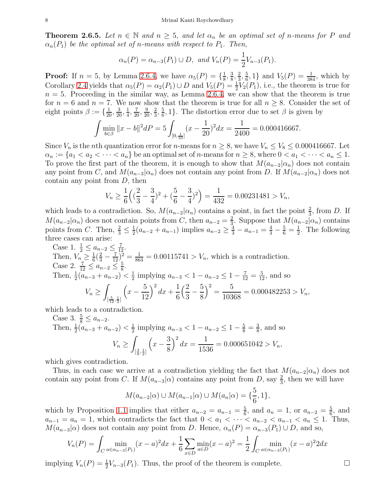<span id="page-8-0"></span>**Theorem 2.6.5.** Let  $n \in \mathbb{N}$  and  $n \geq 5$ , and let  $\alpha_n$  be an optimal set of n-means for P and  $\alpha_n(P_1)$  be the optimal set of n-means with respect to  $P_1$ . Then,

$$
\alpha_n(P) = \alpha_{n-3}(P_1) \cup D
$$
, and  $V_n(P) = \frac{1}{2}V_{n-3}(P_1)$ .

**Proof:** If  $n = 5$ , by Lemma [2.6.4,](#page-7-0) we have  $\alpha_5(P) = \{\frac{1}{8}\}$  $\frac{1}{8}, \frac{3}{8}$  $\frac{3}{8}, \frac{2}{3}$  $\frac{2}{3}, \frac{5}{6}$  $\frac{5}{6}$ , 1} and  $V_5(P) = \frac{1}{384}$ , which by Corollary [2.4](#page-4-2) yields that  $\alpha_5(P) = \alpha_2(P_1) \cup D$  and  $V_5(P) = \frac{1}{2}V_2(P_1)$ , i.e., the theorem is true for  $n = 5$ . Proceeding in the similar way, as Lemma [2.6.4,](#page-7-0) we can show that the theorem is true for  $n = 6$  and  $n = 7$ . We now show that the theorem is true for all  $n \geq 8$ . Consider the set of eight points  $\beta := \{\frac{1}{20}, \frac{3}{20}, \frac{1}{4}\}$  $\frac{1}{4}$ ,  $\frac{7}{20}$ ,  $\frac{9}{20}$ ,  $\frac{2}{3}$  $\frac{2}{3}, \frac{5}{6}$  $\frac{5}{6}$ , 1}. The distortion error due to set  $\beta$  is given by

$$
\int \min_{b \in \beta} \|x - b\|^2 dP = 5 \int_{[0, \frac{1}{10}]} (x - \frac{1}{20})^2 dx = \frac{1}{2400} = 0.000416667.
$$

Since  $V_n$  is the nth quantization error for n-means for  $n \geq 8$ , we have  $V_n \leq V_8 \leq 0.000416667$ . Let  $\alpha_n := \{a_1 < a_2 < \cdots < a_n\}$  be an optimal set of *n*-means for  $n \geq 8$ , where  $0 < a_1 < \cdots < a_n \leq 1$ . To prove the first part of the theorem, it is enough to show that  $M(a_{n-2}|\alpha_n)$  does not contain any point from C, and  $M(a_{n-3}|\alpha_n)$  does not contain any point from D. If  $M(a_{n-2}|\alpha_n)$  does not contain any point from  $D$ , then

$$
V_n \ge \frac{1}{6} \left( \left( \frac{2}{3} - \frac{3}{4} \right)^2 + \left( \frac{5}{6} - \frac{3}{4} \right)^2 \right) = \frac{1}{432} = 0.00231481 > V_n,
$$

which leads to a contradiction. So,  $M(a_{n-2}|\alpha_n)$  contains a point, in fact the point  $\frac{2}{3}$ , from D. If  $M(a_{n-2}|\alpha_n)$  does not contain points from C, then  $a_{n-2} = \frac{2}{3}$  $\frac{2}{3}$ . Suppose that  $M(a_{n-2}|\alpha_n)$  contains points from C. Then,  $\frac{2}{3} \leq \frac{1}{2}$  $\frac{1}{2}(a_{n-2} + a_{n-1})$  implies  $a_{n-2} \ge \frac{4}{3} - a_{n-1} = \frac{4}{3} - \frac{5}{6} = \frac{1}{2}$  $\frac{1}{2}$ . The following three cases can arise:

Case 1. 
$$
\frac{1}{2} \le a_{n-2} \le \frac{7}{12}
$$
.  
\nThen,  $V_n \ge \frac{1}{6}(\frac{2}{3} - \frac{7}{12})^2 = \frac{1}{864} = 0.00115741 > V_n$ , which is a contradiction.  
\nCase 2.  $\frac{7}{12} \le a_{n-2} \le \frac{5}{8}$ .  
\nThen,  $\frac{1}{2}(a_{n-3} + a_{n-2}) < \frac{1}{2}$  implying  $a_{n-3} < 1 - a_{n-2} \le 1 - \frac{7}{12} = \frac{5}{12}$ , and so  
\n $V_n \ge \int_{[\frac{5}{12}, \frac{1}{2}]} \left(x - \frac{5}{12}\right)^2 dx + \frac{1}{6} \left(\frac{2}{3} - \frac{5}{8}\right)^2 = \frac{5}{10368} = 0.000482253 > V_n$ ,

which leads to a contradiction.

Case 3. 
$$
\frac{5}{8} \le a_{n-2}
$$
.  
Then,  $\frac{1}{2}(a_{n-3} + a_{n-2}) < \frac{1}{2}$  implying  $a_{n-3} < 1 - a_{n-2} \le 1 - \frac{5}{8} = \frac{3}{8}$ , and so  

$$
V_n \ge \int_{\left[\frac{3}{8}, \frac{1}{2}\right]} \left(x - \frac{3}{8}\right)^2 dx = \frac{1}{1536} = 0.000651042 > V_n,
$$

which gives contradiction.

Thus, in each case we arrive at a contradiction yielding the fact that  $M(a_{n-2}|\alpha_n)$  does not contain any point from C. If  $M(a_{n-3}|\alpha)$  contains any point from D, say  $\frac{2}{3}$ , then we will have

$$
M(a_{n-2}|\alpha) \cup M(a_{n-1}|\alpha) \cup M(a_n|\alpha) = \{\frac{5}{6}, 1\},\
$$

which by Proposition [1.1](#page-1-0) implies that either  $a_{n-2} = a_{n-1} = \frac{5}{6}$  $\frac{5}{6}$ , and  $a_n = 1$ , or  $a_{n-2} = \frac{5}{6}$  $\frac{5}{6}$ , and  $a_{n-1} = a_n = 1$ , which contradicts the fact that  $0 < a_1 < \cdots < a_{n-2} < a_{n-1} < a_n \leq 1$ . Thus,  $M(a_{n-3}|\alpha)$  does not contain any point from D. Hence,  $\alpha_n(P) = \alpha_{n-3}(P_1) \cup D$ , and so,

$$
V_n(P) = \int_C \min_{a \in \alpha_{n-3}(P_1)} (x-a)^2 dx + \frac{1}{6} \sum_{x \in D} \min_{a \in D} (x-a)^2 = \frac{1}{2} \int_C \min_{a \in \alpha_{n-3}(P_1)} (x-a)^2 2 dx
$$

implying  $V_n(P) = \frac{1}{2} V_{n-3}(P_1)$ . Thus, the proof of the theorem is complete.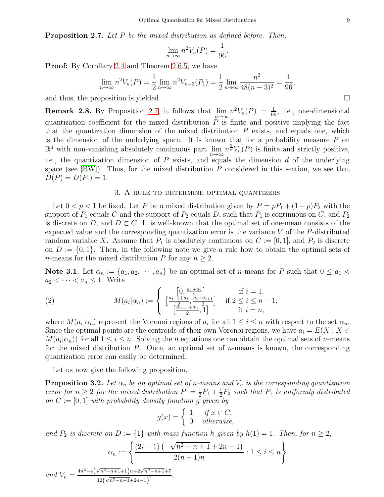<span id="page-9-0"></span>Proposition 2.7. Let P be the mixed distribution as defined before. Then,

$$
\lim_{n \to \infty} n^2 V_n(P) = \frac{1}{96}.
$$

**Proof:** By Corollary [2.4](#page-4-2) and Theorem [2.6.5,](#page-8-0) we have

$$
\lim_{n \to \infty} n^2 V_n(P) = \frac{1}{2} \lim_{n \to \infty} n^2 V_{n-3}(P_1) = \frac{1}{2} \lim_{n \to \infty} \frac{n^2}{48(n-3)^2} = \frac{1}{96},
$$

and thus, the proposition is yielded.  $\square$ 

<span id="page-9-1"></span>**Remark 2.8.** By Proposition [2.7,](#page-9-0) it follows that  $\lim_{n \to \infty} n^2 V_n(P) = \frac{1}{96}$ , i.e., one-dimensional quantization coefficient for the mixed distribution  $\overline{P}$  is finite and positive implying the fact that the quantization dimension of the mixed distribution  $P$  exists, and equals one, which is the dimension of the underlying space. It is known that for a probability measure  $P$  on  $\mathbb{R}^d$  with non-vanishing absolutely continuous part  $\lim_{n\to\infty} n^{\frac{2}{d}}V_n(P)$  is finite and strictly positive, i.e., the quantization dimension of  $P$  exists, and equals the dimension  $d$  of the underlying space (see  $[BW]$ ). Thus, for the mixed distribution  $P$  considered in this section, we see that  $D(P) = D(P_1) = 1.$ 

#### 3. A rule to determine optimal quantizers

<span id="page-9-2"></span>Let  $0 < p < 1$  be fixed. Let P be a mixed distribution given by  $P = pP_1 + (1-p)P_2$  with the support of  $P_1$  equals C and the support of  $P_2$  equals D, such that  $P_1$  is continuous on C, and  $P_2$ is discrete on D, and  $D \subset C$ . It is well-known that the optimal set of one-mean consists of the expected value and the corresponding quantization error is the variance  $V$  of the  $P$ -distributed random variable X. Assume that  $P_1$  is absolutely continuous on  $C := [0, 1]$ , and  $P_2$  is discrete on  $D := \{0, 1\}$ . Then, in the following note we give a rule how to obtain the optimal sets of *n*-means for the mixed distribution P for any  $n \geq 2$ .

<span id="page-9-4"></span>Note 3.1. Let  $\alpha_n := \{a_1, a_2, \dots, a_n\}$  be an optimal set of *n*-means for P such that  $0 \le a_1 <$  $a_2 < \cdots < a_n \leq 1$ . Write

(2) 
$$
M(a_i|\alpha_n) := \begin{cases} \left[\frac{0}{4}, \frac{a_1 + a_2}{2}\right] & \text{if } i = 1, \\ \left[\frac{a_{i-1} + a_i}{2}, \frac{a_i + a_{i+1}}{2}\right] & \text{if } 2 \le i \le n - 1, \\ \left[\frac{a_{n-1} + a_n}{2}, 1\right] & \text{if } i = n, \end{cases}
$$

where  $M(a_i|\alpha_n)$  represent the Voronoi regions of  $a_i$  for all  $1 \leq i \leq n$  with respect to the set  $\alpha_n$ . Since the optimal points are the centroids of their own Voronoi regions, we have  $a_i = E(X : X \in$  $M(a_i|\alpha_n)$  for all  $1 \leq i \leq n$ . Solving the *n* equations one can obtain the optimal sets of *n*-means for the mixed distribution  $P$ . Once, an optimal set of *n*-means is known, the corresponding quantization error can easily be determined.

Let us now give the following proposition.

<span id="page-9-3"></span>**Proposition 3.2.** Let  $\alpha_n$  be an optimal set of n-means and  $V_n$  is the corresponding quantization error for  $n \geq 2$  for the mixed distribution  $P := \frac{1}{2}P_1 + \frac{1}{2}$  $\frac{1}{2}P_2$  such that  $P_1$  is uniformly distributed on  $C := [0, 1]$  with probability density function g given by

$$
g(x) = \begin{cases} 1 & \text{if } x \in C, \\ 0 & \text{otherwise,} \end{cases}
$$

and  $P_2$  is discrete on  $D := \{1\}$  with mass function h given by  $h(1) = 1$ . Then, for  $n \geq 2$ ,

$$
\alpha_n := \left\{ \frac{(2i-1)\left(-\sqrt{n^2 - n + 1} + 2n - 1\right)}{2(n-1)n} : 1 \le i \le n \right\}
$$
  

$$
\frac{n^2 - 4\left(\sqrt{n^2 - n + 1} + 1\right)n + 2\sqrt{n^2 - n + 1} + 7}{n^2 - 4\left(\sqrt{n^2 - n + 1} + 1\right)n}.
$$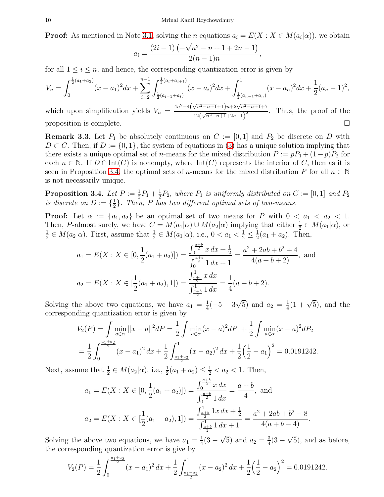**Proof:** As mentioned in Note [3.1,](#page-9-4) solving the *n* equations  $a_i = E(X : X \in M(a_i|\alpha))$ , we obtain

$$
a_i = \frac{(2i-1)\left(-\sqrt{n^2 - n + 1} + 2n - 1\right)}{2(n-1)n},
$$

for all  $1 \leq i \leq n$ , and hence, the corresponding quantization error is given by

$$
V_n = \int_0^{\frac{1}{2}(a_1 + a_2)} (x - a_1)^2 dx + \sum_{i=2}^{n-1} \int_{\frac{1}{2}(a_{i-1} + a_i)}^{\frac{1}{2}(a_i + a_{i+1})} (x - a_i)^2 dx + \int_{\frac{1}{2}(a_{n-1} + a_n)}^1 (x - a_n)^2 dx + \frac{1}{2}(a_n - 1)^2,
$$

which upon simplification yields  $V_n = \frac{4n^2 - 4(\sqrt{n^2 - n + 1} + 1)n + 2\sqrt{n^2 - n + 1} + 7}{12(\sqrt{n^2 - n + 1} + 2n)^2}$  $12(\sqrt{n^2-n+1}+2n-1)$  $\frac{n+1}{2}$ . Thus, the proof of the proposition is complete.  $\Box$ 

<span id="page-10-0"></span>**Remark 3.3.** Let  $P_1$  be absolutely continuous on  $C := [0, 1]$  and  $P_2$  be discrete on D with  $D \subset C$ . Then, if  $D := \{0, 1\}$ , the system of equations in [\(3\)](#page-12-0) has a unique solution implying that there exists a unique optimal set of n-means for the mixed distribution  $P := pP_1 + (1-p)P_2$  for each  $n \in \mathbb{N}$ . If  $D \cap Int(C)$  is nonempty, where  $Int(C)$  represents the interior of C, then as it is seen in Proposition [3.4,](#page-10-1) the optimal sets of n-means for the mixed distribution P for all  $n \in \mathbb{N}$ is not necessarily unique.

<span id="page-10-1"></span>Proposition 3.4. Let  $P := \frac{1}{2}P_1 + \frac{1}{2}$  $\frac{1}{2}P_2$ , where  $P_1$  is uniformly distributed on  $C := [0,1]$  and  $P_2$ is discrete on  $D := \{\frac{1}{2}\}$  $\frac{1}{2}$ . Then, P has two different optimal sets of two-means.

**Proof:** Let  $\alpha := \{a_1, a_2\}$  be an optimal set of two means for P with  $0 < a_1 < a_2 < 1$ . Then, P-almost surely, we have  $C = M(a_1|\alpha) \cup M(a_2|\alpha)$  implying that either  $\frac{1}{2} \in M(a_1|\alpha)$ , or 1  $\frac{1}{2} \in M(a_2|\alpha)$ . First, assume that  $\frac{1}{2} \in M(a_1|\alpha)$ , i.e.,  $0 < a_1 < \frac{1}{2} \leq \frac{1}{2}$  $\frac{1}{2}(a_1 + a_2)$ . Then,

$$
a_1 = E(X : X \in [0, \frac{1}{2}(a_1 + a_2)]) = \frac{\int_0^{\frac{a+b}{2}} x \, dx + \frac{1}{2}}{\int_0^{\frac{a+b}{2}} 1 \, dx + 1} = \frac{a^2 + 2ab + b^2 + 4}{4(a+b+2)}, \text{ and}
$$

$$
a_2 = E(X : X \in [\frac{1}{2}(a_1 + a_2), 1]) = \frac{\int_{\frac{a+b}{2}}^{\frac{1}{2}} x \, dx}{\int_{\frac{a+b}{2}}^{\frac{1}{2}} 1 \, dx} = \frac{1}{4}(a+b+2).
$$

Solving the above two equations, we have  $a_1 = \frac{1}{4}$  $\frac{1}{4}(-5+3\sqrt{5})$  and  $a_2 = \frac{1}{4}$  $\frac{1}{4}(1+\sqrt{5})$ , and the corresponding quantization error is given by

$$
V_2(P) = \int \min_{a \in \alpha} ||x - a||^2 dP = \frac{1}{2} \int \min_{a \in \alpha} (x - a)^2 dP_1 + \frac{1}{2} \int \min_{a \in \alpha} (x - a)^2 dP_2
$$
  
=  $\frac{1}{2} \int_0^{\frac{a_1 + a_2}{2}} (x - a_1)^2 dx + \frac{1}{2} \int_{\frac{a_1 + a_2}{2}}^1 (x - a_2)^2 dx + \frac{1}{2} (\frac{1}{2} - a_1)^2 = 0.0191242.$ 

Next, assume that  $\frac{1}{2} \in M(a_2|\alpha)$ , i.e.,  $\frac{1}{2}(a_1 + a_2) \le \frac{1}{2} < a_2 < 1$ . Then,

$$
a_1 = E(X : X \in [0, \frac{1}{2}(a_1 + a_2)]) = \frac{\int_0^{\frac{a+b}{2}} x \, dx}{\int_0^{\frac{a+b}{2}} 1 \, dx} = \frac{a+b}{4}, \text{ and}
$$

$$
a_2 = E(X : X \in [\frac{1}{2}(a_1 + a_2), 1]) = \frac{\int_{\frac{a+b}{2}}^{1} 1x \, dx + \frac{1}{2}}{\int_{\frac{a+b}{2}}^{1} 1 \, dx + 1} = \frac{a^2 + 2ab + b^2 - 8}{4(a+b-4)}.
$$

Solving the above two equations, we have  $a_1 = \frac{1}{4}$  $\frac{1}{4}(3-\sqrt{5})$  and  $a_2=\frac{3}{4}$  $\frac{3}{4}(3-\sqrt{5})$ , and as before, the corresponding quantization error is give by

$$
V_2(P) = \frac{1}{2} \int_0^{\frac{a_1 + a_2}{2}} (x - a_1)^2 dx + \frac{1}{2} \int_{\frac{a_1 + a_2}{2}}^1 (x - a_2)^2 dx + \frac{1}{2} \left(\frac{1}{2} - a_2\right)^2 = 0.0191242.
$$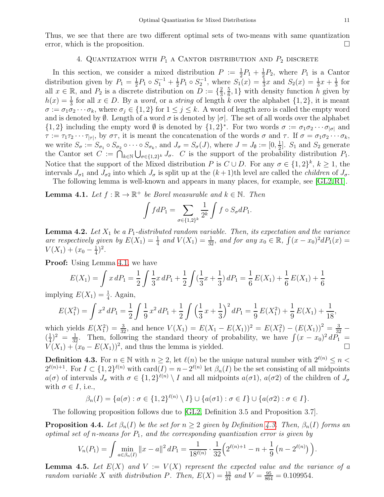### 4. QUANTIZATION WITH  $P_1$  a CANTOR DISTRIBUTION AND  $P_2$  DISCRETE

<span id="page-11-0"></span>In this section, we consider a mixed distribution  $P := \frac{1}{2}P_1 + \frac{1}{2}$  $\frac{1}{2}P_2$ , where  $P_1$  is a Cantor distribution given by  $P_1 = \frac{1}{2}$  $\frac{1}{2}P_1 \circ S_1^{-1} + \frac{1}{2}$  $\frac{1}{2}P_1 \circ S_2^{-1}$ , where  $S_1(x) = \frac{1}{3}x$  and  $S_2(x) = \frac{1}{3}x + \frac{1}{3}$  $rac{1}{3}$  for all  $x \in \mathbb{R}$ , and  $P_2$  is a discrete distribution on  $D := \{\frac{2}{3}\}$  $\frac{2}{3}, \frac{5}{6}$  $\frac{5}{6}$ , 1} with density function h given by  $h(x) = \frac{1}{3}$  for all  $x \in D$ . By a *word*, or a *string* of length k over the alphabet  $\{1, 2\}$ , it is meant  $\sigma := \sigma_1 \sigma_2 \cdots \sigma_k$ , where  $\sigma_j \in \{1,2\}$  for  $1 \leq j \leq k$ . A word of length zero is called the empty word and is denoted by  $\emptyset$ . Length of a word  $\sigma$  is denoted by  $|\sigma|$ . The set of all words over the alphabet  $\{1,2\}$  including the empty word  $\emptyset$  is denoted by  $\{1,2\}^*$ . For two words  $\sigma := \sigma_1 \sigma_2 \cdots \sigma_{|\sigma|}$  and  $\tau := \tau_1 \tau_2 \cdots \tau_{|\tau|}$ , by  $\sigma \tau$ , it is meant the concatenation of the words  $\sigma$  and  $\tau$ . If  $\sigma = \sigma_1 \sigma_2 \cdots \sigma_k$ , we write  $S_{\sigma} := S_{\sigma_1} \circ S_{\sigma_2} \circ \cdots \circ S_{\sigma_k}$ , and  $J_{\sigma} = S_{\sigma}(J)$ , where  $J = J_{\emptyset} := [0, \frac{1}{2}]$  $\frac{1}{2}$ .  $S_1$  and  $S_2$  generate the Cantor set  $C := \bigcap_{k \in \mathbb{N}} \bigcup_{\sigma \in \{1,2\}^k} J_{\sigma}.$  *C* is the support of the probability distribution  $P_1$ . Notice that the support of the Mixed distribution P is  $C \cup D$ . For any  $\sigma \in \{1,2\}^k$ ,  $k \geq 1$ , the intervals  $J_{\sigma 1}$  and  $J_{\sigma 2}$  into which  $J_{\sigma}$  is split up at the  $(k+1)$ th level are called the *children* of  $J_{\sigma}$ .

The following lemma is well-known and appears in many places, for example, see [\[GL2,](#page-21-8) [R1\]](#page-21-9).

<span id="page-11-1"></span>**Lemma 4.1.** Let  $f : \mathbb{R} \to \mathbb{R}^+$  be Borel measurable and  $k \in \mathbb{N}$ . Then

$$
\int f dP_1 = \sum_{\sigma \in \{1,2\}^k} \frac{1}{2^k} \int f \circ S_{\sigma} dP_1.
$$

<span id="page-11-3"></span>**Lemma 4.2.** Let  $X_1$  be a  $P_1$ -distributed random variable. Then, its expectation and the variance are respectively given by  $E(X_1) = \frac{1}{4}$  and  $V(X_1) = \frac{1}{32}$ , and for any  $x_0 \in \mathbb{R}$ ,  $\int (x - x_0)^2 dP_1(x) =$  $V(X_1) + (x_0 - \frac{1}{4})$  $(\frac{1}{4})^2$ .

**Proof:** Using Lemma [4.1,](#page-11-1) we have

$$
E(X_1) = \int x \, dP_1 = \frac{1}{2} \int \frac{1}{3} x \, dP_1 + \frac{1}{2} \int \left(\frac{1}{3} x + \frac{1}{3}\right) dP_1 = \frac{1}{6} E(X_1) + \frac{1}{6} E(X_1) + \frac{1}{6}
$$

implying  $E(X_1) = \frac{1}{4}$ . Again,

$$
E(X_1^2) = \int x^2 dP_1 = \frac{1}{2} \int \frac{1}{9} x^2 dP_1 + \frac{1}{2} \int \left(\frac{1}{3} x + \frac{1}{3}\right)^2 dP_1 = \frac{1}{9} E(X_1^2) + \frac{1}{9} E(X_1) + \frac{1}{18},
$$

which yields  $E(X_1^2) = \frac{3}{32}$ , and hence  $V(X_1) = E(X_1 - E(X_1))^2 = E(X_1^2) - (E(X_1))^2 = \frac{3}{32} \left(\frac{1}{4}\right)$  $\frac{1}{4}$ )<sup>2</sup> =  $\frac{1}{32}$ . Then, following the standard theory of probability, we have  $\int (x - x_0)^2 dP_1$  =  $V(X_1) + (x_0 - E(X_1))^2$ , and thus the lemma is yielded.

<span id="page-11-2"></span>**Definition 4.3.** For  $n \in \mathbb{N}$  with  $n \geq 2$ , let  $\ell(n)$  be the unique natural number with  $2^{\ell(n)} \leq n <$  $2^{\ell(n)+1}$ . For  $I \subset \{1,2\}^{\ell(n)}$  with card $(I) = n-2^{\ell(n)}$  let  $\beta_n(I)$  be the set consisting of all midpoints  $a(\sigma)$  of intervals  $J_{\sigma}$  with  $\sigma \in \{1,2\}^{\ell(n)} \setminus I$  and all midpoints  $a(\sigma 1)$ ,  $a(\sigma 2)$  of the children of  $J_{\sigma}$ with  $\sigma \in I$ , i.e.,

$$
\beta_n(I) = \{a(\sigma) : \sigma \in \{1,2\}^{\ell(n)} \setminus I\} \cup \{a(\sigma 1) : \sigma \in I\} \cup \{a(\sigma 2) : \sigma \in I\}.
$$

The following proposition follows due to [\[GL2,](#page-21-8) Definition 3.5 and Proposition 3.7].

**Proposition 4.4.** Let  $\beta_n(I)$  be the set for  $n \geq 2$  given by Definition [4.3.](#page-11-2) Then,  $\beta_n(I)$  forms an optimal set of n-means for  $P_1$ , and the corresponding quantization error is given by

$$
V_n(P_1) = \int \min_{a \in \beta_n(I)} ||x - a||^2 dP_1 = \frac{1}{18^{\ell(n)}} \cdot \frac{1}{32} \Big( 2^{\ell(n)+1} - n + \frac{1}{9} \left( n - 2^{\ell(n)} \right) \Big).
$$

**Lemma 4.5.** Let  $E(X)$  and  $V := V(X)$  represent the expected value and the variance of a random variable X with distribution P. Then,  $E(X) = \frac{13}{24}$  and  $V = \frac{95}{864} = 0.109954$ .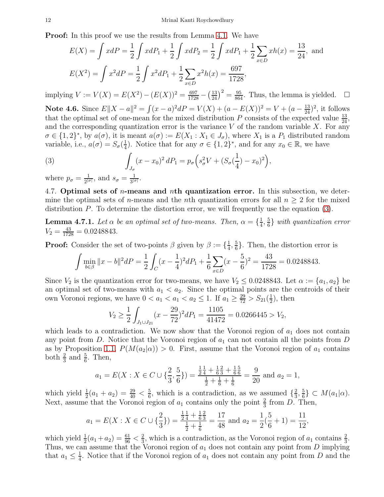**Proof:** In this proof we use the results from Lemma [4.1.](#page-11-1) We have

$$
E(X) = \int x dP = \frac{1}{2} \int x dP_1 + \frac{1}{2} \int x dP_2 = \frac{1}{2} \int x dP_1 + \frac{1}{2} \sum_{x \in D} x h(x) = \frac{13}{24}, \text{ and}
$$

$$
E(X^2) = \int x^2 dP = \frac{1}{2} \int x^2 dP_1 + \frac{1}{2} \sum_{x \in D} x^2 h(x) = \frac{697}{1728},
$$

implying  $V := V(X) = E(X^2) - (E(X))^2 = \frac{697}{1728} - (\frac{13}{24})^2 = \frac{95}{864}$ . Thus, the lemma is yielded. □ Note 4.6. Since  $E||X - a||^2 = \int (x - a)^2 dP = V(X) + (a - E(X))^2 = V + (a - \frac{13}{24})^2$ , it follows that the optimal set of one-mean for the mixed distribution P consists of the expected value  $\frac{13}{24}$ , and the corresponding quantization error is the variance  $V$  of the random variable  $X$ . For any  $\sigma \in \{1,2\}^*$ , by  $a(\sigma)$ , it is meant  $a(\sigma) := E(X_1 : X_1 \in J_\sigma)$ , where  $X_1$  is a  $P_1$  distributed random variable, i.e.,  $a(\sigma) = S_{\sigma}(\frac{1}{4})$  $\frac{1}{4}$ ). Notice that for any  $\sigma \in \{1,2\}^*$ , and for any  $x_0 \in \mathbb{R}$ , we have

<span id="page-12-0"></span>(3) 
$$
\int_{J_{\sigma}} (x - x_0)^2 dP_1 = p_{\sigma} \left( s_{\sigma}^2 V + (S_{\sigma} (\frac{1}{4}) - x_0)^2 \right),
$$

where  $p_{\sigma} = \frac{1}{2^{c}}$  $\frac{1}{2^{|\sigma|}}, \text{ and } s_{\sigma} = \frac{1}{3^{|\sigma|}}$  $\frac{1}{3|\sigma|}$ .

4.7. Optimal sets of *n*-means and *nth* quantization error. In this subsection, we determine the optimal sets of *n*-means and the *n*th quantization errors for all  $n \geq 2$  for the mixed distribution  $P$ . To determine the distortion error, we will frequently use the equation  $(3)$ .

**Lemma 4.7.1.** Let  $\alpha$  be an optimal set of two-means. Then,  $\alpha = \{\frac{1}{4}, \frac{1}{4}\}$  $\frac{1}{4}, \frac{5}{6}$  $\frac{5}{6}$ } with quantization error  $V_2 = \frac{43}{1728} = 0.0248843.$ 

**Proof:** Consider the set of two-points  $\beta$  given by  $\beta := \{\frac{1}{4}\}$  $\frac{1}{4}, \frac{5}{6}$  $\frac{5}{6}$ . Then, the distortion error is

$$
\int \min_{b \in \beta} \|x - b\|^2 dP = \frac{1}{2} \int_C (x - \frac{1}{4})^2 dP_1 + \frac{1}{6} \sum_{x \in D} (x - \frac{5}{6})^2 = \frac{43}{1728} = 0.0248843.
$$

Since  $V_2$  is the quantization error for two-means, we have  $V_2 \leq 0.0248843$ . Let  $\alpha := \{a_1, a_2\}$  be an optimal set of two-means with  $a_1 < a_2$ . Since the optimal points are the centroids of their own Voronoi regions, we have  $0 < a_1 < a_1 < a_2 \le 1$ . If  $a_1 \ge \frac{29}{72} > S_{21}(\frac{1}{2})$  $(\frac{1}{2})$ , then

$$
V_2 \ge \frac{1}{2} \int_{J_1 \cup J_{21}} (x - \frac{29}{72})^2 dP_1 = \frac{1105}{41472} = 0.0266445 > V_2,
$$

which leads to a contradiction. We now show that the Voronoi region of  $a_1$  does not contain any point from D. Notice that the Voronoi region of  $a_1$  can not contain all the points from D as by Proposition [1.1,](#page-1-0)  $P(M(a_2|\alpha)) > 0$ . First, assume that the Voronoi region of  $a_1$  contains both  $\frac{2}{3}$  and  $\frac{5}{6}$ . Then,

$$
a_1 = E(X : X \in C \cup \{\frac{2}{3}, \frac{5}{6}\}) = \frac{\frac{1}{2}\frac{1}{4} + \frac{1}{6}\frac{2}{3} + \frac{1}{6}\frac{5}{6}}{\frac{1}{2} + \frac{1}{6} + \frac{1}{6}} = \frac{9}{20}
$$
 and  $a_2 = 1$ ,

which yield  $\frac{1}{2}(a_1 + a_2) = \frac{29}{40} < \frac{5}{6}$  $\frac{5}{6}$ , which is a contradiction, as we assumed  $\{\frac{2}{3}\}$  $\frac{2}{3}, \frac{5}{6}$  $\frac{5}{6}$ }  $\subset M(a_1|\alpha)$ . Next, assume that the Voronoi region of  $a_1$  contains only the point  $\frac{2}{3}$  from D. Then,

$$
a_1 = E(X : X \in C \cup \{\frac{2}{3}\}) = \frac{\frac{1}{2}\frac{1}{4} + \frac{1}{6}\frac{2}{3}}{\frac{1}{2} + \frac{1}{6}} = \frac{17}{48}
$$
 and  $a_2 = \frac{1}{2}(\frac{5}{6} + 1) = \frac{11}{12}$ ,

which yield  $\frac{1}{2}(a_1 + a_2) = \frac{61}{96} < \frac{2}{3}$  $\frac{2}{3}$ , which is a contradiction, as the Voronoi region of  $a_1$  contains  $\frac{2}{3}$ . Thus, we can assume that the Voronoi region of  $a_1$  does not contain any point from D implying that  $a_1 \leq \frac{1}{4}$  $\frac{1}{4}$ . Notice that if the Voronoi region of  $a_1$  does not contain any point from D and the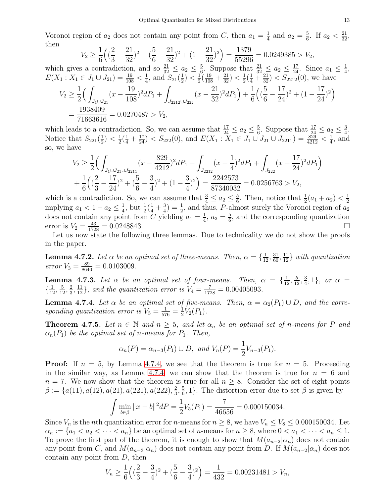Voronoi region of  $a_2$  does not contain any point from C, then  $a_1 = \frac{1}{4}$  $\frac{1}{4}$  and  $a_2 = \frac{5}{6}$  $\frac{5}{6}$ . If  $a_2 < \frac{21}{32}$ , then

$$
V_2 \ge \frac{1}{6} \Big( \big( \frac{2}{3} - \frac{21}{32} \big)^2 + \big( \frac{5}{6} - \frac{21}{32} \big)^2 + \big( 1 - \frac{21}{32} \big)^2 \Big) = \frac{1379}{55296} = 0.0249385 > V_2,
$$

which gives a contradiction, and so  $\frac{21}{32} \leq a_2 \leq \frac{5}{6}$  $\frac{5}{6}$ . Suppose that  $\frac{21}{32} \le a_2 \le \frac{17}{24}$ . Since  $a_1 \le \frac{1}{4}$  $\frac{1}{4}$ ,  $E(X_1: X_1 \in J_1 \cup J_{21}) = \frac{19}{108} < \frac{1}{4}$  $\frac{1}{4}$ , and  $S_{21}(\frac{1}{2})$  $(\frac{1}{2}) < \frac{1}{2}$  $\frac{1}{2}(\frac{19}{108}+\frac{21}{32})<\frac{1}{2}$  $\frac{1}{2}(\frac{1}{4} + \frac{21}{32})$  <  $S_{2212}(0)$ , we have  $V_2 \geq \frac{1}{2}$ 2  $\overline{C}$  $J_1 \cup J_{21}$  $\left(x-\frac{19}{109}\right)$ 108  $)^{2}dP_{1} +$  $J_{2212} \cup J_{222}$  $(x-\frac{21}{32})$ 32  $)^{2}dP_{1}\Big) +$ 1 6  $\Big($ 5  $\frac{1}{6}$ 17 24  $)^{2} + (1 - \frac{17}{24})$ 24  $)^{2}$ = 1938409  $\frac{1888168}{71663616} = 0.0270487 > V_2,$ 

which leads to a contradiction. So, we can assume that  $\frac{17}{24} \le a_2 \le \frac{5}{6}$  $\frac{5}{6}$ . Suppose that  $\frac{17}{24} \le a_2 \le \frac{3}{4}$  $\frac{3}{4}$ . Notice that  $S_{221}(\frac{1}{2})$  $(\frac{1}{2}) < \frac{1}{2}$  $\frac{1}{2}(\frac{1}{4} + \frac{17}{24})$  <  $S_{222}(0)$ , and  $E(X_1 : X_1 \in J_1 \cup J_{21} \cup J_{2211}) = \frac{829}{4212}$  <  $\frac{1}{4}$  $\frac{1}{4}$ , and so, we have

$$
V_2 \ge \frac{1}{2} \Big( \int_{J_1 \cup J_{21} \cup J_{2211}} (x - \frac{829}{4212})^2 dP_1 + \int_{J_{2212}} (x - \frac{1}{4})^2 dP_1 + \int_{J_{222}} (x - \frac{17}{24})^2 dP_1 \Big) + \frac{1}{6} \Big( (\frac{2}{3} - \frac{17}{24})^2 + (\frac{5}{6} - \frac{3}{4})^2 + (1 - \frac{3}{4})^2 \Big) = \frac{2242573}{87340032} = 0.0256763 > V_2,
$$

which is a contradiction. So, we can assume that  $\frac{3}{4} \le a_2 \le \frac{5}{6}$  $\frac{5}{6}$ . Then, notice that  $\frac{1}{2}(a_1 + a_2) < \frac{1}{2}$ 2 implying  $a_1 < 1 - a_2 \leq \frac{1}{4}$  $\frac{1}{4}$ , but  $\frac{1}{2}(\frac{1}{4} + \frac{3}{4})$  $(\frac{3}{4}) = \frac{1}{2}$ , and thus, P-almost surely the Voronoi region of  $a_2$ does not contain any point from C yielding  $a_1 = \frac{1}{4}$  $\frac{1}{4}$ ,  $a_2 = \frac{5}{6}$  $\frac{5}{6}$ , and the corresponding quantization error is  $V_2 = \frac{43}{172}$  $\frac{43}{1728} = 0.0248843.$ 

Let us now state the following three lemmas. Due to technicality we do not show the proofs in the paper.

**Lemma 4.7.2.** Let  $\alpha$  be an optimal set of three-means. Then,  $\alpha = \{\frac{1}{12}, \frac{31}{60}, \frac{11}{12}\}$  with quantization error  $V_3 = \frac{89}{8640} = 0.0103009$ .

**Lemma 4.7.3.** Let  $\alpha$  be an optimal set of four-means. Then,  $\alpha = \{\frac{1}{12}, \frac{5}{12}, \frac{3}{4}$  $\{\frac{3}{4}, 1\}, \text{ or } \alpha =$  $\{\frac{1}{12},\frac{5}{12},\frac{2}{3}\}$  $\frac{2}{3}, \frac{11}{12}$ , and the quantization error is  $V_4 = \frac{7}{1728} = 0.00405093$ .

<span id="page-13-1"></span>**Lemma 4.7.4.** Let  $\alpha$  be an optimal set of five-means. Then,  $\alpha = \alpha_2(P_1) \cup D$ , and the corresponding quantization error is  $V_5 = \frac{1}{576} = \frac{1}{2}$  $\frac{1}{2}V_2(P_1)$ .

<span id="page-13-0"></span>**Theorem 4.7.5.** Let  $n \in \mathbb{N}$  and  $n \geq 5$ , and let  $\alpha_n$  be an optimal set of n-means for P and  $\alpha_n(P_1)$  be the optimal set of n-means for  $P_1$ . Then,

$$
\alpha_n(P) = \alpha_{n-3}(P_1) \cup D
$$
, and  $V_n(P) = \frac{1}{2}V_{n-3}(P_1)$ .

**Proof:** If  $n = 5$ , by Lemma [4.7.4,](#page-13-1) we see that the theorem is true for  $n = 5$ . Proceeding in the similar way, as Lemma [4.7.4,](#page-13-1) we can show that the theorem is true for  $n = 6$  and  $n = 7$ . We now show that the theorem is true for all  $n \geq 8$ . Consider the set of eight points  $\beta := \{a(11), a(12), a(21), a(221), a(222), \frac{2}{3}\}$  $\frac{2}{3}, \frac{5}{6}$  $\frac{5}{6}$ , 1}. The distortion error due to set  $\beta$  is given by

$$
\int \min_{b \in \beta} ||x - b||^2 dP = \frac{1}{2} V_5(P_1) = \frac{7}{46656} = 0.000150034.
$$

Since  $V_n$  is the *n*th quantization error for *n*-means for  $n \geq 8$ , we have  $V_n \leq V_8 \leq 0.000150034$ . Let  $\alpha_n := \{a_1 < a_2 < \cdots < a_n\}$  be an optimal set of *n*-means for  $n \geq 8$ , where  $0 < a_1 < \cdots < a_n \leq 1$ . To prove the first part of the theorem, it is enough to show that  $M(a_{n-2}|\alpha_n)$  does not contain any point from C, and  $M(a_{n-3}|\alpha_n)$  does not contain any point from D. If  $M(a_{n-2}|\alpha_n)$  does not contain any point from  $D$ , then

$$
V_n \ge \frac{1}{6} \left( \left( \frac{2}{3} - \frac{3}{4} \right)^2 + \left( \frac{5}{6} - \frac{3}{4} \right)^2 \right) = \frac{1}{432} = 0.00231481 > V_n,
$$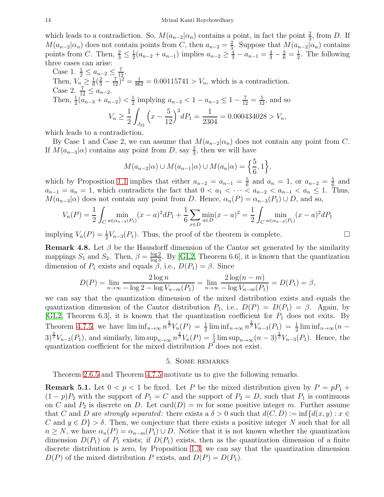which leads to a contradiction. So,  $M(a_{n-2}|\alpha_n)$  contains a point, in fact the point  $\frac{2}{3}$ , from D. If  $M(a_{n-2}|\alpha_n)$  does not contain points from C, then  $a_{n-2} = \frac{2}{3}$  $\frac{2}{3}$ . Suppose that  $M(a_{n-2}|\alpha_n)$  contains points from C. Then,  $\frac{2}{3} \leq \frac{1}{2}$  $\frac{1}{2}(a_{n-2} + a_{n-1})$  implies  $a_{n-2} \ge \frac{4}{3} - a_{n-1} = \frac{4}{3} - \frac{5}{6} = \frac{1}{2}$  $\frac{1}{2}$ . The following three cases can arise:

Case 1. 
$$
\frac{1}{2} \le a_{n-2} \le \frac{7}{12}
$$
.  
\nThen,  $V_n \ge \frac{1}{6}(\frac{2}{3} - \frac{7}{12})^2 = \frac{1}{864} = 0.00115741 > V_n$ , which is a contradiction.  
\nCase 2.  $\frac{7}{12} \le a_{n-2}$ .  
\nThen,  $\frac{1}{2}(a_{n-3} + a_{n-2}) < \frac{1}{2}$  implying  $a_{n-3} < 1 - a_{n-2} \le 1 - \frac{7}{12} = \frac{5}{12}$ , and so  
\n $V_n \ge \frac{1}{2} \int_{J_{22}} \left(x - \frac{5}{12}\right)^2 dP_1 = \frac{1}{2304} = 0.000434028 > V_n$ ,

which leads to a contradiction.

By Case 1 and Case 2, we can assume that  $M(a_{n-2}|\alpha_n)$  does not contain any point from C. If  $M(a_{n-3}|\alpha)$  contains any point from D, say  $\frac{2}{3}$ , then we will have

$$
M(a_{n-2}|\alpha) \cup M(a_{n-1}|\alpha) \cup M(a_n|\alpha) = \left\{\frac{5}{6}, 1\right\},\,
$$

which by Proposition [1.1](#page-1-0) implies that either  $a_{n-2} = a_{n-1} = \frac{5}{6}$  $\frac{5}{6}$  and  $a_n = 1$ , or  $a_{n-2} = \frac{5}{6}$  $\frac{5}{6}$  and  $a_{n-1} = a_n = 1$ , which contradicts the fact that  $0 < a_1 < \cdots < a_{n-2} < a_{n-1} < a_n \leq 1$ . Thus,  $M(a_{n-3}|\alpha)$  does not contain any point from D. Hence,  $\alpha_n(P) = \alpha_{n-3}(P_1) \cup D$ , and so,

$$
V_n(P) = \frac{1}{2} \int_C \min_{a \in \alpha_{n-3}(P_1)} (x-a)^2 dP_1 + \frac{1}{6} \sum_{x \in D} \min_{a \in D} (x-a)^2 = \frac{1}{2} \int_C \min_{a \in \alpha_{n-3}(P_1)} (x-a)^2 dP_1
$$

implying  $V_n(P) = \frac{1}{2} V_{n-3}(P_1)$ . Thus, the proof of the theorem is complete.

<span id="page-14-0"></span>**Remark 4.8.** Let  $\beta$  be the Hausdorff dimension of the Cantor set generated by the similarity mappings  $S_1$  and  $S_2$ . Then,  $\beta = \frac{\log 2}{\log 3}$ . By [\[GL2,](#page-21-8) Theorem 6.6], it is known that the quantization dimension of  $P_1$  exists and equals  $\beta$ , i.e.,  $D(P_1) = \beta$ . Since

$$
D(P) = \lim_{n \to \infty} \frac{2 \log n}{-\log 2 - \log V_{n-m}(P_1)} = \lim_{n \to \infty} \frac{2 \log (n-m)}{-\log V_{n-m}(P_1)} = D(P_1) = \beta,
$$

we can say that the quantization dimension of the mixed distribution exists and equals the quantization dimension of the Cantor distribution  $P_1$ , i.e.,  $D(P) = D(P_1) = \beta$ . Again, by [\[GL2,](#page-21-8) Theorem 6.3], it is known that the quantization coefficient for  $P_1$  does not exits. By Theorem [4.7.5,](#page-13-0) we have  $\liminf_{n\to\infty} n^{\frac{2}{\beta}} V_n(P) = \frac{1}{2} \liminf_{n\to\infty} n^{\frac{2}{\beta}} V_{n-3}(P_1) = \frac{1}{2} \liminf_{n\to\infty} (n-1)$  $(3)^{\frac{2}{\beta}}V_{n-3}(P_1)$ , and similarly,  $\limsup_{n\to\infty}n^{\frac{2}{\beta}}V_n(P)=\frac{1}{2}\limsup_{n\to\infty}(n-3)^{\frac{2}{\beta}}V_{n-3}(P_1)$ . Hence, the quantization coefficient for the mixed distribution P does not exist.

#### 5. Some remarks

<span id="page-14-1"></span>Theorem [2.6.5](#page-8-0) and Theorem [4.7.5](#page-13-0) motivate us to give the following remarks.

**Remark 5.1.** Let  $0 < p < 1$  be fixed. Let P be the mixed distribution given by  $P = pP_1 + pP_2$  $(1-p)P_2$  with the support of  $P_1 = C$  and the support of  $P_2 = D$ , such that  $P_1$  is continuous on C and  $P_2$  is discrete on D. Let card(D) = m for some positive integer m. Further assume that C and D are strongly separated: there exists a  $\delta > 0$  such that  $d(C, D) := \inf \{d(x, y) : x \in$ C and  $y \in D$  >  $\delta$ . Then, we conjecture that there exists a positive integer N such that for all  $n \geq N$ , we have  $\alpha_n(P) = \alpha_{n-m}(P_1) \cup D$ . Notice that it is not known whether the quantization dimension  $D(P_1)$  of  $P_1$  exists; if  $D(P_1)$  exists, then as the quantization dimension of a finite discrete distribution is zero, by Proposition [1.3,](#page-2-0) we can say that the quantization dimension  $D(P)$  of the mixed distribution P exists, and  $D(P) = D(P_1)$ .

$$
\Box
$$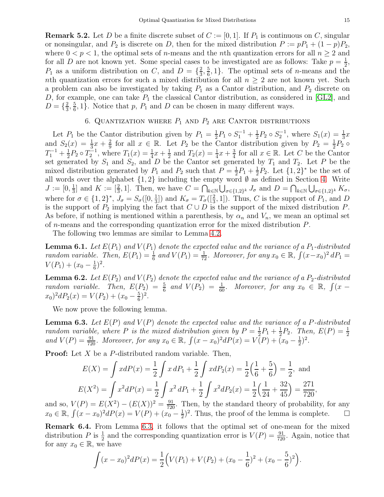**Remark 5.2.** Let D be a finite discrete subset of  $C := [0, 1]$ . If  $P_1$  is continuous on C, singular or nonsingular, and  $P_2$  is discrete on D, then for the mixed distribution  $P := pP_1 + (1 - p)P_2$ , where  $0 < p < 1$ , the optimal sets of *n*-means and the *n*th quantization errors for all  $n \ge 2$  and for all D are not known yet. Some special cases to be investigated are as follows: Take  $p = \frac{1}{2}$ ,  $P_1$  as a uniform distribution on C, and  $D = {\frac{2}{3}, \frac{5}{6}, 1}$ . The optimal sets of *n*-means and the  $\frac{2}{3}, \frac{5}{6}$  $\frac{5}{6}$ , 1}. The optimal sets of *n*-means and the nth quantization errors for such a mixed distribution for all  $n \geq 2$  are not known yet. Such a problem can also be investigated by taking  $P_1$  as a Cantor distribution, and  $P_2$  discrete on D, for example, one can take  $P_1$  the classical Cantor distribution, as considered in [\[GL2\]](#page-21-8), and  $D = \{\frac{2}{3}$  $\frac{2}{3}, \frac{5}{6}$  $\frac{5}{6}$ , 1}. Notice that p,  $P_1$  and D can be chosen in many different ways.

### 6. QUANTIZATION WHERE  $P_1$  and  $P_2$  are Cantor distributions

<span id="page-15-0"></span>Let  $P_1$  be the Cantor distribution given by  $P_1 = \frac{1}{2}$  $\frac{1}{2}P_1 \circ S_1^{-1} + \frac{1}{2}$  $\frac{1}{2}P_2 \circ S_2^{-1}$ , where  $S_1(x) = \frac{1}{3}x$ and  $S_2(x) = \frac{1}{3}x + \frac{2}{9}$  $\frac{2}{9}$  for all  $x \in \mathbb{R}$ . Let  $P_2$  be the Cantor distribution given by  $P_2 = \frac{1}{2}$  $\frac{1}{2}P_2$   $\circ$  $T_1^{-1} + \frac{1}{2}$  $\frac{1}{2}P_2 \circ T_2^{-1}$ , where  $T_1(x) = \frac{1}{4}x + \frac{1}{2}$  $\frac{1}{2}$  and  $T_2(x) = \frac{1}{4}x + \frac{3}{4}$  $\frac{3}{4}$  for all  $x \in \mathbb{R}$ . Let C be the Cantor set generated by  $S_1$  and  $S_2$ , and D be the Cantor set generated by  $T_1$  and  $T_2$ . Let P be the mixed distribution generated by  $P_1$  and  $P_2$  such that  $P=\frac{1}{2}$  $rac{1}{2}P_1 + \frac{1}{2}$  $\frac{1}{2}P_2$ . Let  $\{1,2\}^*$  be the set of all words over the alphabet  $\{1, 2\}$  including the empty word Ø as defined in Section [4.](#page-11-0) Write  $J := [0, \frac{1}{3}]$  $\frac{1}{3}$  and  $K := \left[\frac{2}{3}, 1\right]$ . Then, we have  $C = \bigcap_{k \in \mathbb{N}} \bigcup_{\sigma \in \{1,2\}^k} J_{\sigma}$  and  $D = \bigcap_{k \in \mathbb{N}} \bigcup_{\sigma \in \{1,2\}^k} K_{\sigma}$ , where for  $\sigma \in \{1, 2\}^*, J_{\sigma} = S_{\sigma}([0, \frac{1}{3}$  $\frac{1}{3}$ ) and  $K_{\sigma} = T_{\sigma}([\frac{2}{3}, 1])$ . Thus, C is the support of  $P_1$ , and D is the support of  $P_2$  implying the fact that  $C \cup D$  is the support of the mixed distribution P. As before, if nothing is mentioned within a parenthesis, by  $\alpha_n$  and  $V_n$ , we mean an optimal set of n-means and the corresponding quantization error for the mixed distribution P.

The following two lemmas are similar to Lemma [4.2.](#page-11-3)

**Lemma 6.1.** Let  $E(P_1)$  and  $V(P_1)$  denote the expected value and the variance of a  $P_1$ -distributed random variable. Then,  $E(P_1) = \frac{1}{6}$  and  $V(P_1) = \frac{1}{72}$ . Moreover, for any  $x_0 \in \mathbb{R}$ ,  $\int (x-x_0)^2 dP_1 =$  $V(P_1) + (x_0 - \frac{1}{6})$  $(\frac{1}{6})^2$ .

**Lemma 6.2.** Let  $E(P_2)$  and  $V(P_2)$  denote the expected value and the variance of a  $P_2$ -distributed random variable. Then,  $E(P_2) = \frac{5}{6}$  and  $V(P_2) = \frac{1}{60}$ . Moreover, for any  $x_0 \in \mathbb{R}$ ,  $\int (x - \frac{1}{60})^2 dx$  $(x_0)^2 dP_2(x) = V(P_2) + (x_0 - \frac{5}{6})$  $(\frac{5}{6})^2$ .

We now prove the following lemma.

<span id="page-15-1"></span>**Lemma 6.3.** Let  $E(P)$  and  $V(P)$  denote the expected value and the variance of a P-distributed random variable, where P is the mixed distribution given by  $P = \frac{1}{2}$  $\frac{1}{2}P_1 + \frac{1}{2}$  $\frac{1}{2}P_2$ . Then,  $E(P) = \frac{1}{2}$ and  $V(P) = \frac{91}{720}$ . Moreover, for any  $x_0 \in \mathbb{R}$ ,  $\int (x - x_0)^2 dP(x) = V(P) + \tilde{(}x_0 - \frac{1}{2})$  $(\frac{1}{2})^2$ .

**Proof:** Let  $X$  be a  $P$ -distributed random variable. Then,

$$
E(X) = \int x dP(x) = \frac{1}{2} \int x dP_1 + \frac{1}{2} \int x dP_2(x) = \frac{1}{2} \left(\frac{1}{6} + \frac{5}{6}\right) = \frac{1}{2}, \text{ and}
$$
  

$$
E(X^2) = \int x^2 dP(x) = \frac{1}{2} \int x^2 dP_1 + \frac{1}{2} \int x^2 dP_2(x) = \frac{1}{2} \left(\frac{1}{24} + \frac{32}{45}\right) = \frac{271}{720},
$$

and so,  $V(P) = E(X^2) - (E(X))^2 = \frac{91}{720}$ . Then, by the standard theory of probability, for any  $x_0 \in \mathbb{R}, \int (x - x_0)^2 dP(x) = V(P) + (x_0 - \frac{1}{2})$  $\frac{1}{2}$ <sup>2</sup>. Thus, the proof of the lemma is complete.  $\Box$ 

Remark 6.4. From Lemma [6.3,](#page-15-1) it follows that the optimal set of one-mean for the mixed distribution P is  $\frac{1}{2}$  and the corresponding quantization error is  $V(P) = \frac{91}{720}$ . Again, notice that for any  $x_0 \in \mathbb{R}$ , we have

$$
\int (x - x_0)^2 dP(x) = \frac{1}{2} \Big( V(P_1) + V(P_2) + (x_0 - \frac{1}{6})^2 + (x_0 - \frac{5}{6})^2 \Big).
$$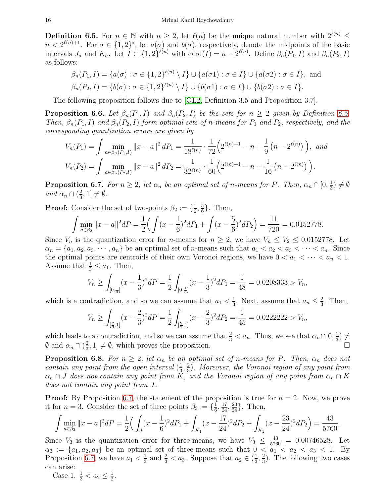<span id="page-16-0"></span>**Definition 6.5.** For  $n \in \mathbb{N}$  with  $n \geq 2$ , let  $\ell(n)$  be the unique natural number with  $2^{\ell(n)} \leq$  $n < 2^{\ell(n)+1}$ . For  $\sigma \in \{1,2\}^*$ , let  $a(\sigma)$  and  $b(\sigma)$ , respectively, denote the midpoints of the basic intervals  $J_{\sigma}$  and  $K_{\sigma}$ . Let  $I \subset \{1,2\}^{\ell(n)}$  with  $card(I) = n - 2^{\ell(n)}$ . Define  $\beta_n(P_1, I)$  and  $\beta_n(P_2, I)$ as follows:

$$
\beta_n(P_1, I) = \{a(\sigma) : \sigma \in \{1, 2\}^{\ell(n)} \setminus I\} \cup \{a(\sigma 1) : \sigma \in I\} \cup \{a(\sigma 2) : \sigma \in I\}, \text{ and}
$$
  

$$
\beta_n(P_2, I) = \{b(\sigma) : \sigma \in \{1, 2\}^{\ell(n)} \setminus I\} \cup \{b(\sigma 1) : \sigma \in I\} \cup \{b(\sigma 2) : \sigma \in I\}.
$$

The following proposition follows due to [\[GL2,](#page-21-8) Definition 3.5 and Proposition 3.7].

**Proposition 6.6.** Let  $\beta_n(P_1, I)$  and  $\beta_n(P_2, I)$  be the sets for  $n \geq 2$  given by Definition [6.5.](#page-16-0) Then,  $\beta_n(P_1, I)$  and  $\beta_n(P_2, I)$  form optimal sets of n-means for  $P_1$  and  $P_2$ , respectively, and the corresponding quantization errors are given by

$$
V_n(P_1) = \int \min_{a \in \beta_n(P_1, I)} ||x - a||^2 dP_1 = \frac{1}{18^{\ell(n)}} \cdot \frac{1}{72} \Big( 2^{\ell(n)+1} - n + \frac{1}{9} \left( n - 2^{\ell(n)} \right) \Big), \text{ and}
$$
  

$$
V_n(P_2) = \int \min_{a \in \beta_n(P_2, I)} ||x - a||^2 dP_2 = \frac{1}{32^{\ell(n)}} \cdot \frac{1}{60} \Big( 2^{\ell(n)+1} - n + \frac{1}{16} \left( n - 2^{\ell(n)} \right) \Big).
$$

<span id="page-16-1"></span>**Proposition 6.7.** For  $n \geq 2$ , let  $\alpha_n$  be an optimal set of n-means for P. Then,  $\alpha_n \cap [0, \frac{1}{3}]$  $(\frac{1}{3}) \neq \emptyset$ and  $\alpha_n \cap \left(\frac{2}{3}\right)$  $\frac{2}{3}, 1] \neq \emptyset$ .

**Proof:** Consider the set of two-points  $\beta_2 := \{\frac{1}{6}\}$  $\frac{1}{6}, \frac{5}{6}$  $\frac{5}{6}$ . Then,

$$
\int \min_{a \in \beta_2} \|x - a\|^2 dP = \frac{1}{2} \Big( \int (x - \frac{1}{6})^2 dP_1 + \int (x - \frac{5}{6})^2 dP_2 \Big) = \frac{11}{720} = 0.0152778.
$$

Since  $V_n$  is the quantization error for *n*-means for  $n \geq 2$ , we have  $V_n \leq V_2 \leq 0.0152778$ . Let  $\alpha_n = \{a_1, a_2, a_3, \cdots, a_n\}$  be an optimal set of *n*-means such that  $a_1 < a_2 < a_3 < \cdots < a_n$ . Since the optimal points are centroids of their own Voronoi regions, we have  $0 < a_1 < \cdots < a_n < 1$ . Assume that  $\frac{1}{3} \leq a_1$ . Then,

$$
V_n \ge \int_{[0,\frac{1}{3}]} (x - \frac{1}{3})^2 dP = \frac{1}{2} \int_{[0,\frac{1}{3}]} (x - \frac{1}{3})^2 dP_1 = \frac{1}{48} = 0.0208333 > V_n,
$$

which is a contradiction, and so we can assume that  $a_1 < \frac{1}{3}$  $\frac{1}{3}$ . Next, assume that  $a_n \leq \frac{2}{3}$  $\frac{2}{3}$ . Then,

$$
V_n \ge \int_{\left[\frac{2}{3},1\right]} (x - \frac{2}{3})^2 dP = \frac{1}{2} \int_{\left[\frac{2}{3},1\right]} (x - \frac{2}{3})^2 dP_2 = \frac{1}{45} = 0.0222222 > V_n,
$$

which leads to a contradiction, and so we can assume that  $\frac{2}{3} < a_n$ . Thus, we see that  $\alpha_n \cap [0, \frac{1}{3}]$  $(\frac{1}{3}) \neq$  $\emptyset$  and  $\alpha_n \cap (\frac{2}{3})$  $\frac{2}{3}$ , 1]  $\neq \emptyset$ , which proves the proposition.

<span id="page-16-2"></span>**Proposition 6.8.** For  $n \geq 2$ , let  $\alpha_n$  be an optimal set of n-means for P. Then,  $\alpha_n$  does not contain any point from the open interval  $(\frac{1}{3})$  $\frac{1}{3}, \frac{2}{3}$  $\frac{2}{3}$ ). Moreover, the Voronoi region of any point from  $\alpha_n \cap J$  does not contain any point from K, and the Voronoi region of any point from  $\alpha_n \cap K$ does not contain any point from J.

**Proof:** By Proposition [6.7,](#page-16-1) the statement of the proposition is true for  $n = 2$ . Now, we prove it for  $n = 3$ . Consider the set of three points  $\beta_3 := \{\frac{1}{6}\}$  $\frac{1}{6}, \frac{17}{24}, \frac{23}{24}$ . Then,

$$
\int \min_{a \in \beta_3} ||x - a||^2 dP = \frac{1}{2} \Big( \int_J (x - \frac{1}{6})^2 dP_1 + \int_{K_1} (x - \frac{17}{24})^2 dP_2 + \int_{K_2} (x - \frac{23}{24})^2 dP_2 \Big) = \frac{43}{5760}.
$$

Since  $V_3$  is the quantization error for three-means, we have  $V_3 \n\leq \frac{43}{5760} = 0.00746528$ . Let  $\alpha_3 := \{a_1, a_2, a_3\}$  be an optimal set of three-means such that  $0 < a_1 < a_2 < a_3 < 1$ . By Proposition [6.7,](#page-16-1) we have  $a_1 < \frac{1}{3}$  $\frac{1}{3}$  and  $\frac{2}{3} < a_3$ . Suppose that  $a_2 \in (\frac{1}{3})$  $\frac{1}{3}, \frac{2}{3}$  $\frac{2}{3}$ ). The following two cases can arise:

Case 1.  $\frac{1}{3} < a_2 \leq \frac{1}{2}$  $\frac{1}{2}$ .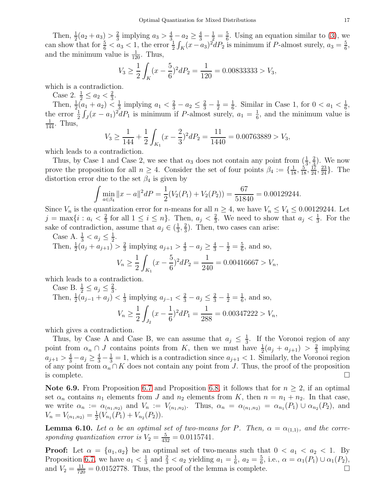Then,  $\frac{1}{2}(a_2 + a_3) > \frac{2}{3}$  $\frac{2}{3}$  implying  $a_3 > \frac{4}{3} - a_2 \ge \frac{4}{3} - \frac{1}{2} = \frac{5}{6}$  $\frac{5}{6}$ . Using an equation similar to [\(3\)](#page-12-0), we can show that for  $\frac{5}{6} < a_3 < 1$ , the error  $\frac{1}{2} \int_K (x-a_3)^2 dP_2$  is minimum if P-almost surely,  $a_3 = \frac{5}{6}$  $\frac{5}{6}$ and the minimum value is  $\frac{1}{120}$ . Thus,

$$
V_3 \ge \frac{1}{2} \int_K (x - \frac{5}{6})^2 dP_2 = \frac{1}{120} = 0.00833333 > V_3,
$$

which is a contradiction.

Case 2.  $\frac{1}{2} \le a_2 < \frac{2}{3}$  $\frac{2}{3}$ .

Then,  $\frac{1}{2}(a_1 + a_2) < \frac{1}{3}$  $\frac{1}{3}$  implying  $a_1 < \frac{2}{3} - a_2 \leq \frac{2}{3} - \frac{1}{2} = \frac{1}{6}$  $\frac{1}{6}$ . Similar in Case 1, for  $0 < a_1 < \frac{1}{6}$  $\frac{1}{6}$ , the error  $\frac{1}{2} \int_J (x - a_1)^2 dP_1$  is minimum if P-almost surely,  $a_1 = \frac{1}{6}$  $\frac{1}{6}$ , and the minimum value is  $\frac{1}{144}$ . Thus,

$$
V_3 \ge \frac{1}{144} + \frac{1}{2} \int_{K_1} (x - \frac{2}{3})^2 dP_2 = \frac{11}{1440} = 0.00763889 > V_3,
$$

which leads to a contradiction.

Thus, by Case 1 and Case 2, we see that  $\alpha_3$  does not contain any point from  $(\frac{1}{3}, \frac{2}{3})$  $(\frac{2}{3})$ . We now prove the proposition for all  $n \geq 4$ . Consider the set of four points  $\beta_4 := \{\frac{1}{18}, \frac{5}{18}, \frac{17}{24}, \frac{23}{24}\}.$  The distortion error due to the set  $\beta_4$  is given by

$$
\int \min_{a \in \beta_4} \|x - a\|^2 dP = \frac{1}{2} (V_2(P_1) + V_2(P_2)) = \frac{67}{51840} = 0.00129244.
$$

Since  $V_n$  is the quantization error for *n*-means for all  $n \geq 4$ , we have  $V_n \leq V_4 \leq 0.00129244$ . Let  $j = \max\{i : a_i < \frac{2}{3}\}$  $\frac{2}{3}$  for all  $1 \leq i \leq n$ . Then,  $a_j < \frac{2}{3}$  $\frac{2}{3}$ . We need to show that  $a_j < \frac{1}{3}$  $\frac{1}{3}$ . For the sake of contradiction, assume that  $a_j \in (\frac{1}{3})$  $\frac{1}{3}, \frac{2}{3}$  $\frac{2}{3}$ ). Then, two cases can arise:

Case A.  $\frac{1}{3} < a_j \leq \frac{1}{2}$  $\frac{1}{2}$ .

Then, 
$$
\frac{1}{2}(a_j + a_{j+1}) > \frac{2}{3}
$$
 implying  $a_{j+1} > \frac{4}{3} - a_j \ge \frac{4}{3} - \frac{1}{2} = \frac{5}{6}$ , and so,  

$$
V_n \ge \frac{1}{2} \int_{K_1} (x - \frac{5}{6})^2 dP_2 = \frac{1}{240} = 0.00416667 > V_n,
$$

which leads to a contradiction.

Case B. 
$$
\frac{1}{2} \le a_j \le \frac{2}{3}
$$
.  
Then,  $\frac{1}{2}(a_{j-1} + a_j) < \frac{1}{3}$  implying  $a_{j-1} < \frac{2}{3} - a_j \le \frac{2}{3} - \frac{1}{2} = \frac{1}{6}$ , and so,  

$$
V_n \ge \frac{1}{2} \int_{J_2} (x - \frac{1}{6})^2 dP_1 = \frac{1}{288} = 0.00347222 > V_n,
$$

which gives a contradiction.

Thus, by Case A and Case B, we can assume that  $a_j \leq \frac{1}{3}$  $\frac{1}{3}$ . If the Voronoi region of any point from  $\alpha_n \cap J$  contains points from K, then we must have  $\frac{1}{2}(a_j + a_{j+1}) > \frac{2}{3}$  $rac{2}{3}$  implying  $a_{j+1} > \frac{4}{3} - a_j \ge \frac{4}{3} - \frac{1}{3} = 1$ , which is a contradiction since  $a_{j+1} < 1$ . Similarly, the Voronoi region of any point from  $\alpha_n \cap K$  does not contain any point from J. Thus, the proof of the proposition is complete. is complete.  $\Box$ 

Note 6.9. From Proposition [6.7](#page-16-1) and Proposition [6.8,](#page-16-2) it follows that for  $n \geq 2$ , if an optimal set  $\alpha_n$  contains  $n_1$  elements from J and  $n_2$  elements from K, then  $n = n_1 + n_2$ . In that case, we write  $\alpha_n := \alpha_{(n_1,n_2)}$  and  $V_n := V_{(n_1,n_2)}$ . Thus,  $\alpha_n = \alpha_{(n_1,n_2)} = \alpha_{n_1}(P_1) \cup \alpha_{n_2}(P_2)$ , and  $V_n = V_{(n_1,n_2)} = \frac{1}{2}$  $\frac{1}{2}(V_{n_1}(P_1)+V_{n_2}(P_2)).$ 

<span id="page-17-0"></span>**Lemma 6.10.** Let  $\alpha$  be an optimal set of two-means for P. Then,  $\alpha = \alpha_{(1,1)}$ , and the corresponding quantization error is  $V_2 = \frac{5}{432} = 0.0115741$ .

**Proof:** Let  $\alpha = \{a_1, a_2\}$  be an optimal set of two-means such that  $0 < a_1 < a_2 < 1$ . By Proposition [6.7,](#page-16-1) we have  $a_1 < \frac{1}{3}$  $\frac{1}{3}$  and  $\frac{2}{3} < a_2$  yielding  $a_1 = \frac{1}{6}$  $\frac{1}{6}$ ,  $a_2 = \frac{5}{6}$  $\frac{5}{6}$ , i.e.,  $\alpha = \alpha_1(P_1) \cup \alpha_1(P_2)$ , and  $V_2 = \frac{11}{720} = 0.0152778$ . Thus, the proof of the lemma is complete.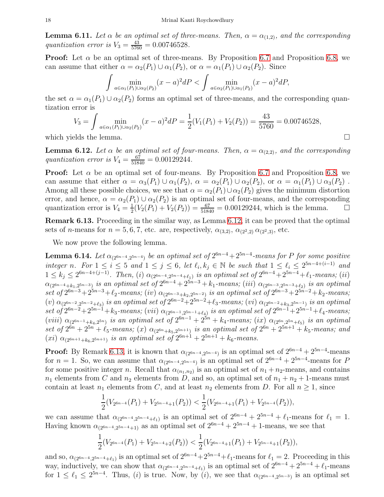<span id="page-18-3"></span>**Lemma 6.11.** Let  $\alpha$  be an optimal set of three-means. Then,  $\alpha = \alpha_{(1,2)}$ , and the corresponding quantization error is  $V_3 = \frac{43}{5760} = 0.00746528$ .

**Proof:** Let  $\alpha$  be an optimal set of three-means. By Proposition [6.7](#page-16-1) and Proposition [6.8,](#page-16-2) we can assume that either  $\alpha = \alpha_2(P_1) \cup \alpha_1(P_2)$ , or  $\alpha = \alpha_1(P_1) \cup \alpha_2(P_2)$ . Since

$$
\int \min_{a \in \alpha_1(P_1) \cup \alpha_2(P_2)} (x-a)^2 dP < \int \min_{a \in \alpha_2(P_1) \cup \alpha_1(P_2)} (x-a)^2 dP,
$$

the set  $\alpha = \alpha_1(P_1) \cup \alpha_2(P_2)$  forms an optimal set of three-means, and the corresponding quantization error is

$$
V_3 = \int \min_{a \in \alpha_1(P_1) \cup \alpha_2(P_2)} (x - a)^2 dP = \frac{1}{2} (V_1(P_1) + V_2(P_2)) = \frac{43}{5760} = 0.00746528,
$$

which yields the lemma.  $\Box$ 

<span id="page-18-0"></span>**Lemma 6.12.** Let  $\alpha$  be an optimal set of four-means. Then,  $\alpha = \alpha_{(2,2)}$ , and the corresponding quantization error is  $V_4 = \frac{67}{51840} = 0.00129244$ .

**Proof:** Let  $\alpha$  be an optimal set of four-means. By Proposition [6.7](#page-16-1) and Proposition [6.8,](#page-16-2) we can assume that either  $\alpha = \alpha_3(P_1) \cup \alpha_1(P_2)$ ,  $\alpha = \alpha_2(P_1) \cup \alpha_2(P_2)$ , or  $\alpha = \alpha_1(P_1) \cup \alpha_3(P_2)$ . Among all these possible choices, we see that  $\alpha = \alpha_2(P_1) \cup \alpha_2(P_2)$  gives the minimum distortion error, and hence,  $\alpha = \alpha_2(P_1) \cup \alpha_2(P_2)$  is an optimal set of four-means, and the corresponding quantization error is  $V_4 = \frac{1}{2}$  $\frac{1}{2}(V_2(P_1) + V_2(P_2)) = \frac{67}{51840} = 0.00129244$ , which is the lemma.  $\Box$ 

<span id="page-18-1"></span>Remark 6.13. Proceeding in the similar way, as Lemma [6.12,](#page-18-0) it can be proved that the optimal sets of n-means for  $n = 5, 6, 7$ , etc. are, respectively,  $\alpha_{(3,2)}, \alpha_{(2^2,2)} \alpha_{(2^2,3)},$  etc.

We now prove the following lemma.

<span id="page-18-2"></span>**Lemma 6.14.** Let  $\alpha_{(2^{6n-4},2^{5n-4})}$  be an optimal set of  $2^{6n-4}+2^{5n-4}$ -means for P for some positive integer n. For  $1 \leq i \leq 5$  and  $1 \leq j \leq 6$ , let  $\ell_i, k_j \in \mathbb{N}$  be such that  $1 \leq \ell_i \leq 2^{5n-4+(i-1)}$  and  $1 \leq k_j \leq 2^{6n-4+(j-1)}$ . Then, (i)  $\alpha_{(2^{6n-4},2^{5n-4}+\ell_1)}$  is an optimal set of  $2^{6n-4}+2^{5n-4}+\ell_1$ -means; (ii)  $\alpha_{(2^{6n-4}+k_1,2^{5n-3})}$  is an optimal set of  $2^{6n-4}+2^{5n-3}+k_1\hbox{-means};$   $(iii)$   $\alpha_{(2^{6n-3},2^{5n-3}+\ell_2)}$  is an optimal set of  $2^{6n-3}+2^{5n-3}+\ell_2$ -means; (iv)  $\alpha_{(2^{6n-3}+k_2,2^{5n-2})}$  is an optimal set of  $2^{6n-3}+2^{5n-2}+k_2$ -means;  $(v)$   $\alpha_{(2^{6n-2},2^{5n-2}+l_3)}$  is an optimal set of  $2^{6n-2}+2^{5n-2}+\ell_3$ -means;  $(vi)$   $\alpha_{(2^{6n-2}+k_3,2^{5n-1})}$  is an optimal  $\det\ of\ 2^{6n-2}+2^{5n-1}+k_3\ -\ mean\ s;\ (vii)\ \alpha_{(2^{6n-1},2^{5n-1}+\ell_4)}\ is\ an\ optimal\ set\ of\ 2^{6n-1}+2^{5n-1}+\ell_4\ -\ mean\ s;\$  $(viii)$   $\alpha_{(2^{6n-1}+k_4,2^{5n})}$  is an optimal set of  $2^{6n-1}+2^{5n}+k_4$ -means; (ix)  $\alpha_{(2^{6n},2^{5n}+\ell_5)}$  is an optimal set of  $2^{6n} + 2^{5n} + \ell_5$ -means; (x)  $\alpha_{(2^{6n}+k_5,2^{5n+1})}$  is an optimal set of  $2^{6n} + 2^{5n+1} + k_5$ -means; and  $(xi)$   $\alpha_{(2^{6n+1}+k_6,2^{5n+1})}$  is an optimal set of  $2^{6n+1}+2^{5n+1}+k_6$ -means.

**Proof:** By Remark [6.13,](#page-18-1) it is known that  $\alpha_{(2^{6n-4},2^{5n-4})}$  is an optimal set of  $2^{6n-4} + 2^{5n-4}$ -means for  $n = 1$ . So, we can assume that  $\alpha_{(2^{6n-4},2^{5n-4})}$  is an optimal set of  $2^{6n-4} + 2^{5n-4}$ -means for P for some positive integer n. Recall that  $\alpha_{(n_1,n_2)}$  is an optimal set of  $n_1+n_2$ -means, and contains  $n_1$  elements from C and  $n_2$  elements from D, and so, an optimal set of  $n_1 + n_2 + 1$ -means must contain at least  $n_1$  elements from C, and at least  $n_2$  elements from D. For all  $n \geq 1$ , since

$$
\frac{1}{2}(V_{2^{6n-4}}(P_1)+V_{2^{5n-4}+1}(P_2)) < \frac{1}{2}(V_{2^{6n-4}+1}(P_1)+V_{2^{5n-4}}(P_2)),
$$

we can assume that  $\alpha_{(2^{6n-4},2^{5n-4}+\ell_1)}$  is an optimal set of  $2^{6n-4} + 2^{5n-4} + \ell_1$ -means for  $\ell_1 = 1$ . Having known  $\alpha_{(2^{6n-4},2^{5n-4}+1)}$  as an optimal set of  $2^{6n-4} + 2^{5n-4} + 1$ -means, we see that

$$
\frac{1}{2}(V_{2^{6n-4}}(P_1)+V_{2^{5n-4}+2}(P_2)) < \frac{1}{2}(V_{2^{6n-4}+1}(P_1)+V_{2^{5n-4}+1}(P_2)),
$$

and so,  $\alpha_{(2^{6n-4},2^{5n-4}+\ell_1)}$  is an optimal set of  $2^{6n-4}+2^{5n-4}+\ell_1$ -means for  $\ell_1=2$ . Proceeding in this way, inductively, we can show that  $\alpha_{(2^{6n-4},2^{5n-4}+\ell_1)}$  is an optimal set of  $2^{6n-4} + 2^{5n-4} + \ell_1$ -means for  $1 \leq \ell_1 \leq 2^{5n-4}$ . Thus, (i) is true. Now, by (i), we see that  $\alpha_{(2^{6n-4},2^{5n-3})}$  is an optimal set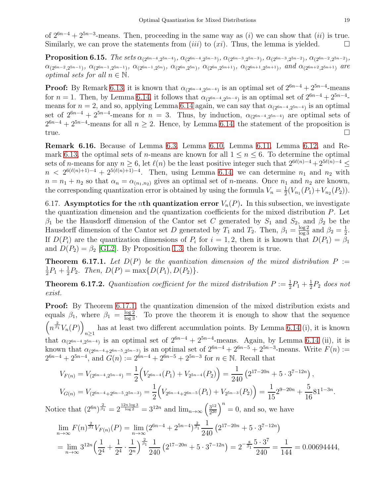of  $2^{6n-4} + 2^{5n-3}$ -means. Then, proceeding in the same way as (i) we can show that (ii) is true. Similarly, we can prove the statements from  $(iii)$  to  $(xi)$ . Thus, the lemma is yielded.

**Proposition 6.15.** The sets  $\alpha_{(2^{6n-4},2^{5n-4})}$ ,  $\alpha_{(2^{6n-4},2^{5n-3})}$ ,  $\alpha_{(2^{6n-3},2^{5n-3})}$ ,  $\alpha_{(2^{6n-3},2^{5n-2})}$ ,  $\alpha_{(2^{6n-2},2^{5n-2})}$ ,  $\alpha_{(2^{6n-2},2^{5n-1})}, \alpha_{(2^{6n-1},2^{5n-1})}, \alpha_{(2^{6n-1},2^{5n})}, \alpha_{(2^{6n},2^{5n})}, \alpha_{(2^{6n},2^{5n+1})}, \alpha_{(2^{6n+1},2^{5n+1})}, \text{ and } \alpha_{(2^{6n+2},2^{5n+1})} \text{ are }$ *optimal sets for all*  $n \in \mathbb{N}$ .

**Proof:** By Remark [6.13,](#page-18-1) it is known that  $\alpha_{(2^{6n-4},2^{5n-4})}$  is an optimal set of  $2^{6n-4} + 2^{5n-4}$ -means for  $n = 1$ . Then, by Lemma [6.14,](#page-18-2) it follows that  $\alpha_{(2^{6n-4},2^{5n-4})}$  is an optimal set of  $2^{6n-4} + 2^{5n-4}$ means for  $n = 2$ , and so, applying Lemma [6.14](#page-18-2) again, we can say that  $\alpha_{(2^{6n-4},2^{5n-4})}$  is an optimal set of  $2^{6n-4} + 2^{5n-4}$ -means for  $n = 3$ . Thus, by induction,  $\alpha_{(2^{6n-4},2^{5n-4})}$  are optimal sets of  $2^{6n-4} + 2^{5n-4}$ -means for all  $n \ge 2$ . Hence, by Lemma [6.14,](#page-18-2) the statement of the proposition is true.

Remark 6.16. Because of Lemma [6.3,](#page-15-1) Lemma [6.10,](#page-17-0) Lemma [6.11,](#page-18-3) Lemma [6.12,](#page-18-0) and Re-mark [6.13,](#page-18-1) the optimal sets of *n*-means are known for all  $1 \le n \le 6$ . To determine the optimal sets of n-means for any  $n \geq 6$ , let  $\ell(n)$  be the least positive integer such that  $2^{6\ell(n)-4} + 2^{5\ell(n)-4} \leq$  $n < 2^{6(\ell(n)+1)-4} + 2^{5(\ell(n)+1)-4}$ . Then, using Lemma [6.14,](#page-18-2) we can determine  $n_1$  and  $n_2$  with  $n = n_1 + n_2$  so that  $\alpha_n = \alpha_{(n_1,n_2)}$  gives an optimal set of *n*-means. Once  $n_1$  and  $n_2$  are known, the corresponding quantization error is obtained by using the formula  $V_n = \frac{1}{2}$  $\frac{1}{2}(V_{n_1}(P_1)+V_{n_2}(P_2)).$ 

6.17. Asymptotics for the *n*th quantization error  $V_n(P)$ . In this subsection, we investigate the quantization dimension and the quantization coefficients for the mixed distribution P. Let  $\beta_1$  be the Hausdorff dimension of the Cantor set C generated by  $S_1$  and  $S_2$ , and  $\beta_2$  be the Hausdorff dimension of the Cantor set D generated by  $T_1$  and  $T_2$ . Then,  $\beta_1 = \frac{\log 2}{\log 3}$  and  $\beta_2 = \frac{1}{2}$  $\frac{1}{2}$ . If  $D(P_i)$  are the quantization dimensions of  $P_i$  for  $i = 1, 2$ , then it is known that  $D(P_1) = \beta_1$ and  $D(P_2) = \beta_2$  [\[GL2\]](#page-21-8). By Proposition [1.3,](#page-2-0) the following theorem is true.

<span id="page-19-1"></span>**Theorem 6.17.1.** Let  $D(P)$  be the quantization dimension of the mixed distribution  $P :=$ 1  $\frac{1}{2}P_1 + \frac{1}{2}$  $\frac{1}{2}P_2$ . Then,  $D(P) = \max\{D(P_1), D(P_2)\}.$ 

<span id="page-19-0"></span>**Theorem 6.17.2.** Quantization coefficient for the mixed distribution  $P := \frac{1}{2}P_1 + \frac{1}{2}P_2$  $\frac{1}{2}P_2$  does not exist.

Proof: By Theorem [6.17.1,](#page-19-1) the quantization dimension of the mixed distribution exists and equals  $\beta_1$ , where  $\beta_1 = \frac{\log 2}{\log 3}$ . To prove the theorem it is enough to show that the sequence  $\left(n^{\frac{2}{\beta_1}}V_n(P)\right)$  $n\geq 1$ has at least two different accumulation points. By Lemma [6.14](#page-18-2) (i), it is known that  $\alpha_{(2^{6n-4},2^{5n-4})}$  is an optimal set of  $2^{6n-4} + 2^{5n-4}$ -means. Again, by Lemma [6.14](#page-18-2) (ii), it is known that  $\alpha_{(2^{6n-4}+2^{6n-5},2^{5n-3})}$  is an optimal set of  $2^{6n-4} + 2^{6n-5} + 2^{5n-3}$ -means. Write  $F(n) :=$  $2^{6n-4} + 2^{5n-4}$ , and  $G(n) := 2^{6n-4} + 2^{6n-5} + 2^{5n-3}$  for  $n \in \mathbb{N}$ . Recall that

$$
V_{F(n)} = V_{(2^{6n-4}, 2^{5n-4})} = \frac{1}{2} \Big( V_{2^{6n-4}}(P_1) + V_{2^{5n-4}}(P_2) \Big) = \frac{1}{240} \left( 2^{17-20n} + 5 \cdot 3^{7-12n} \right),
$$
  
\n
$$
V_{G(n)} = V_{(2^{6n-4}+2^{6n-5}, 2^{5n-3})} = \frac{1}{2} \Big( V_{2^{6n-4}+2^{6n-5}}(P_1) + V_{2^{5n-3}}(P_2) \Big) = \frac{1}{15} 2^{9-20n} + \frac{5}{16} 81^{1-3n}.
$$

Notice that  $(2^{6n})^{\frac{2}{\beta_1}} = 2^{\frac{12n \log 3}{\log 2}} = 3^{12n}$  and  $\lim_{n \to \infty} \left(\frac{3^{12n}}{2^{20n}}\right)$  $\frac{3^{12}}{2^{20}}\Big)^n = 0$ , and so, we have

$$
\lim_{n \to \infty} F(n)^{\frac{2}{\beta 1}} V_{F(n)}(P) = \lim_{n \to \infty} (2^{6n-4} + 2^{5n-4})^{\frac{2}{\beta_1}} \frac{1}{240} \left( 2^{17-20n} + 5 \cdot 3^{7-12n} \right)
$$
  
= 
$$
\lim_{n \to \infty} 3^{12n} \left( \frac{1}{2^4} + \frac{1}{2^4} \cdot \frac{1}{2^n} \right)^{\frac{2}{\beta_1}} \frac{1}{240} \left( 2^{17-20n} + 5 \cdot 3^{7-12n} \right) = 2^{-\frac{8}{\beta_1}} \frac{5 \cdot 3^7}{240} = \frac{1}{144} = 0.00694444,
$$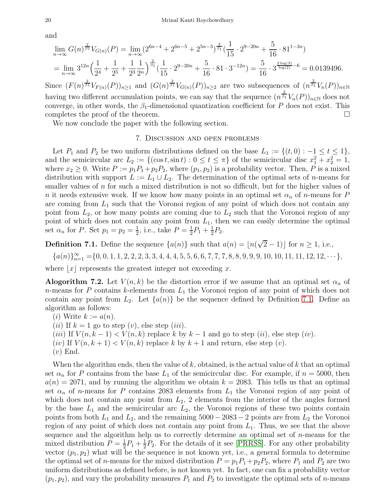and

$$
\lim_{n \to \infty} G(n)^{\frac{2}{\beta 1}} V_{G(n)}(P) = \lim_{n \to \infty} (2^{6n-4} + 2^{6n-5} + 2^{5n-3})^{\frac{2}{\beta_1}} \left(\frac{1}{15} \cdot 2^{9-20n} + \frac{5}{16} \cdot 81^{1-3n}\right)
$$
  
= 
$$
\lim_{n \to \infty} 3^{12n} \left(\frac{1}{2^4} + \frac{1}{2^5} + \frac{1}{2^3} \frac{1}{2^n}\right)^{\frac{2}{\beta_1}} \left(\frac{1}{15} \cdot 2^{9-20n} + \frac{5}{16} \cdot 81 \cdot 3^{-12n}\right) = \frac{5}{16} \cdot 3^{\frac{2 \log(3)}{\log(2)} - 6} = 0.0139496.
$$

Since  $(F(n)^{\frac{2}{\beta 1}}V_{F(n)}(P))_{n\geq 1}$  and  $(G(n)^{\frac{2}{\beta 1}}V_{G(n)}(P))_{n\geq 2}$  are two subsequences of  $(n^{\frac{2}{\beta 1}}V_n(P))_{n\in\mathbb{N}}$ having two different accumulation points, we can say that the sequence  $(n^{\frac{2}{\beta_1}}V_n(P))_{n\in\mathbb{N}}$  does not converge, in other words, the  $\beta_1$ -dimensional quantization coefficient for P does not exist. This completes the proof of the theorem.  $\Box$ 

<span id="page-20-0"></span>We now conclude the paper with the following section.

#### 7. Discussion and open problems

Let  $P_1$  and  $P_2$  be two uniform distributions defined on the base  $L_1 := \{(t, 0) : -1 \le t \le 1\},\$ and the semicircular arc  $L_2 := \{(\cos t, \sin t) : 0 \le t \le \pi\}$  of the semicircular disc  $x_1^2 + x_2^2 = 1$ , where  $x_2 \geq 0$ . Write  $P := p_1P_1 + p_2P_2$ , where  $(p_1, p_2)$  is a probability vector. Then, P is a mixed distribution with support  $L := L_1 \cup L_2$ . The determination of the optimal sets of *n*-means for smaller values of  $n$  for such a mixed distribution is not so difficult, but for the higher values of n it needs extensive work. If we know how many points in an optimal set  $\alpha_n$  of n-means for P are coming from  $L_1$  such that the Voronoi region of any point of which does not contain any point from  $L_2$ , or how many points are coming due to  $L_2$  such that the Voronoi region of any point of which does not contain any point from  $L_1$ , then we can easily determine the optimal set  $\alpha_n$  for P. Set  $p_1 = p_2 = \frac{1}{2}$  $\frac{1}{2}$ , i.e., take  $P = \frac{1}{2}$  $\frac{1}{2}P_1 + \frac{1}{2}$  $rac{1}{2}P_2$ .

<span id="page-20-1"></span>**Definition 7.1.** Define the sequence  $\{a(n)\}\$  such that  $a(n) = \lfloor n(\sqrt{2}-1) \rfloor$  for  $n \ge 1$ , i.e.,

$$
{a(n)}_{n=1}^{\infty} = {0, 0, 1, 1, 2, 2, 2, 3, 3, 4, 4, 4, 5, 5, 6, 6, 7, 7, 7, 8, 8, 9, 9, 9, 10, 10, 11, 11, 12, 12, \cdots}
$$

where  $|x|$  represents the greatest integer not exceeding x.

**Alogorithm 7.2.** Let  $V(n, k)$  be the distortion error if we assume that an optimal set  $\alpha_n$  of  $n$ -means for P contains k-elements from  $L_1$  the Voronoi region of any point of which does not contain any point from  $L_2$ . Let  $\{a(n)\}\$ be the sequence defined by Definition [7.1.](#page-20-1) Define an algorithm as follows:

(*i*) Write  $k := a(n)$ .

- (*ii*) If  $k = 1$  go to step (*v*), else step (*iii*).
- (iii) If  $V(n, k-1) < V(n, k)$  replace k by  $k-1$  and go to step (ii), else step (iv).
- (iv) If  $V(n, k+1) < V(n, k)$  replace k by  $k+1$  and return, else step (v).
- $(v)$  End.

When the algorithm ends, then the value of  $k$ , obtained, is the actual value of  $k$  that an optimal set  $\alpha_n$  for P contains from the base  $L_1$  of the semicircular disc. For example, if  $n = 5000$ , then  $a(n) = 2071$ , and by running the algorithm we obtain  $k = 2083$ . This tells us that an optimal set  $\alpha_n$  of n-means for P contains 2083 elements from  $L_1$  the Voronoi region of any point of which does not contain any point from  $L_2$ , 2 elements from the interior of the angles formed by the base  $L_1$  and the semicircular arc  $L_2$ , the Voronoi regions of these two points contain points from both  $L_1$  and  $L_2$ , and the remaining  $5000 - 2083 - 2$  points are from  $L_2$  the Voronoi region of any point of which does not contain any point from  $L_1$ . Thus, we see that the above sequence and the algorithm help us to correctly determine an optimal set of n-means for the mixed distribution  $P=\frac{1}{2}$  $\frac{1}{2}P_1 + \frac{1}{2}$  $\frac{1}{2}P_2$ . For the details of it see [\[PRRSS\]](#page-21-19). For any other probability vector  $(p_1, p_2)$  what will be the sequence is not known yet, i.e., a general formula to determine the optimal set of *n*-means for the mixed distribution  $P = p_1 P_1 + p_2 P_2$ , where  $P_1$  and  $P_2$  are two uniform distributions as defined before, is not known yet. In fact, one can fix a probability vector  $(p_1, p_2)$ , and vary the probability measures  $P_1$  and  $P_2$  to investigate the optimal sets of *n*-means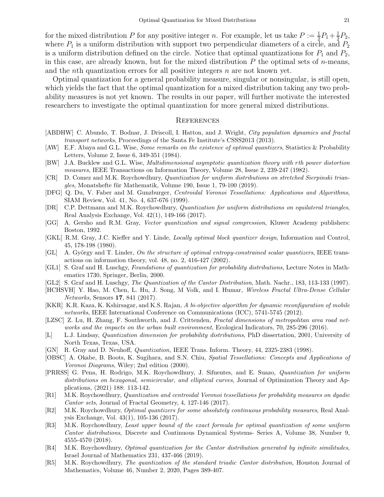for the mixed distribution P for any positive integer n. For example, let us take  $P := \frac{1}{2}P_1 + \frac{1}{2}$  $\frac{1}{2}P_2$ , where  $P_1$  is a uniform distribution with support two perpendicular diameters of a circle, and  $P_2$ is a uniform distribution defined on the circle. Notice that optimal quantizations for  $P_1$  and  $P_2$ , in this case, are already known, but for the mixed distribution  $P$  the optimal sets of  $n$ -means, and the nth quantization errors for all positive integers n are not known yet.

Optimal quantization for a general probability measure, singular or nonsingular, is still open, which yields the fact that the optimal quantization for a mixed distribution taking any two probability measures is not yet known. The results in our paper, will further motivate the interested researchers to investigate the optimal quantization for more general mixed distributions.

#### **REFERENCES**

- <span id="page-21-15"></span>[ABDHW] C. Abundo, T. Bodnar, J. Driscoll, I. Hatton, and J. Wright, City population dynamics and fractal transport networks, Proceedings of the Santa Fe Institute's CSSS2013 (2013).
- <span id="page-21-2"></span>[AW] E.F. Abaya and G.L. Wise, Some remarks on the existence of optimal quantizers, Statistics & Probability Letters, Volume 2, Issue 6, 349-351 (1984).
- <span id="page-21-18"></span>[BW] J.A. Bucklew and G.L. Wise, Multidimensional asymptotic quantization theory with rth power distortion measures, IEEE Transactions on Information Theory, Volume 28, Issue 2, 239-247 (1982).
- <span id="page-21-6"></span>[CR] D. Comez and M.K. Roychowdhury, Quantization for uniform distributions on stretched Sierpinski trian $gles, Monatshefte für Mathematik, Volume 190, Issue 1, 79-100 (2019).$
- <span id="page-21-11"></span>[DFG] Q. Du, V. Faber and M. Gunzburger, Centroidal Voronoi Tessellations: Applications and Algorithms, SIAM Review, Vol. 41, No. 4, 637-676 (1999).
- <span id="page-21-7"></span>[DR] C.P. Dettmann and M.K. Roychowdhury, Quantization for uniform distributions on equilateral triangles, Real Analysis Exchange, Vol. 42(1), 149-166 (2017).
- <span id="page-21-0"></span>[GG] A. Gersho and R.M. Gray, Vector quantization and signal compression, Kluwer Academy publishers: Boston, 1992.
- <span id="page-21-3"></span>[GKL] R.M. Gray, J.C. Kieffer and Y. Linde, Locally optimal block quantizer design, Information and Control, 45, 178-198 (1980).
- <span id="page-21-4"></span>[GL] A. György and T. Linder, On the structure of optimal entropy-constrained scalar quantizers, IEEE transactions on information theory, vol. 48, no. 2, 416-427 (2002).
- <span id="page-21-5"></span>[GL1] S. Graf and H. Luschgy, Foundations of quantization for probability distributions, Lecture Notes in Mathematics 1730, Springer, Berlin, 2000.
- <span id="page-21-8"></span>[GL2] S. Graf and H. Luschgy, The Quantization of the Cantor Distribution, Math. Nachr., 183, 113-133 (1997).
- <span id="page-21-13"></span>[HCHSVH] Y. Hao, M. Chen, L. Hu, J. Song, M Volk, and I. Humar, Wireless Fractal Ultra-Dense Cellular Networks, Sensors 17, 841 (2017).
- <span id="page-21-14"></span>[KKR] K.R. Kaza, K. Kshirsagar, and K.S. Rajan, A bi-objective algorithm for dynamic reconfiguration of mobile networks, IEEE International Conference on Communications (ICC), 5741-5745 (2012).
- <span id="page-21-16"></span>[LZSC] Z. Lu, H. Zhang, F. Southworth, and J. Crittenden, Fractal dimensions of metropolitan area road networks and the impacts on the urban built environment, Ecological Indicators, 70, 285-296 (2016).
- <span id="page-21-17"></span>[L] L.J. Lindsay, Quantization dimension for probability distributions, PhD dissertation, 2001, University of North Texas, Texas, USA.
- <span id="page-21-1"></span>[GN] R. Gray and D. Neuhoff, Quantization, IEEE Trans. Inform. Theory, 44, 2325-2383 (1998).
- <span id="page-21-12"></span>[OBSC] A. Okabe, B. Boots, K. Sugihara, and S.N. Chiu, Spatial Tessellations: Concepts and Applications of Voronoi Diagrams, Wiley; 2nd edition (2000).
- <span id="page-21-19"></span>[PRRSS] G. Pena, H. Rodrigo, M.K. Roychowdhury, J. Sifuentes, and E. Suazo, Quantization for uniform distributions on hexagonal, semicircular, and elliptical curves, Journal of Optimization Theory and Applications, (2021) 188: 113-142.
- <span id="page-21-9"></span>[R1] M.K. Roychowdhury, Quantization and centroidal Voronoi tessellations for probability measures on dyadic Cantor sets, Journal of Fractal Geometry, 4, 127-146 (2017).
- [R2] M.K. Roychowdhury, Optimal quantizers for some absolutely continuous probability measures, Real Analysis Exchange, Vol. 43(1), 105-136 (2017).
- [R3] M.K. Roychowdhury, Least upper bound of the exact formula for optimal quantization of some uniform Cantor distributions, Discrete and Continuous Dynamical Systems- Series A, Volume 38, Number 9, 4555-4570 (2018).
- [R4] M.K. Roychowdhury, Optimal quantization for the Cantor distribution generated by infinite similitudes, Israel Journal of Mathematics 231, 437-466 (2019).
- <span id="page-21-10"></span>[R5] M.K. Roychowdhury, The quantization of the standard triadic Cantor distribution, Houston Journal of Mathematics, Volume 46, Number 2, 2020, Pages 389-407.